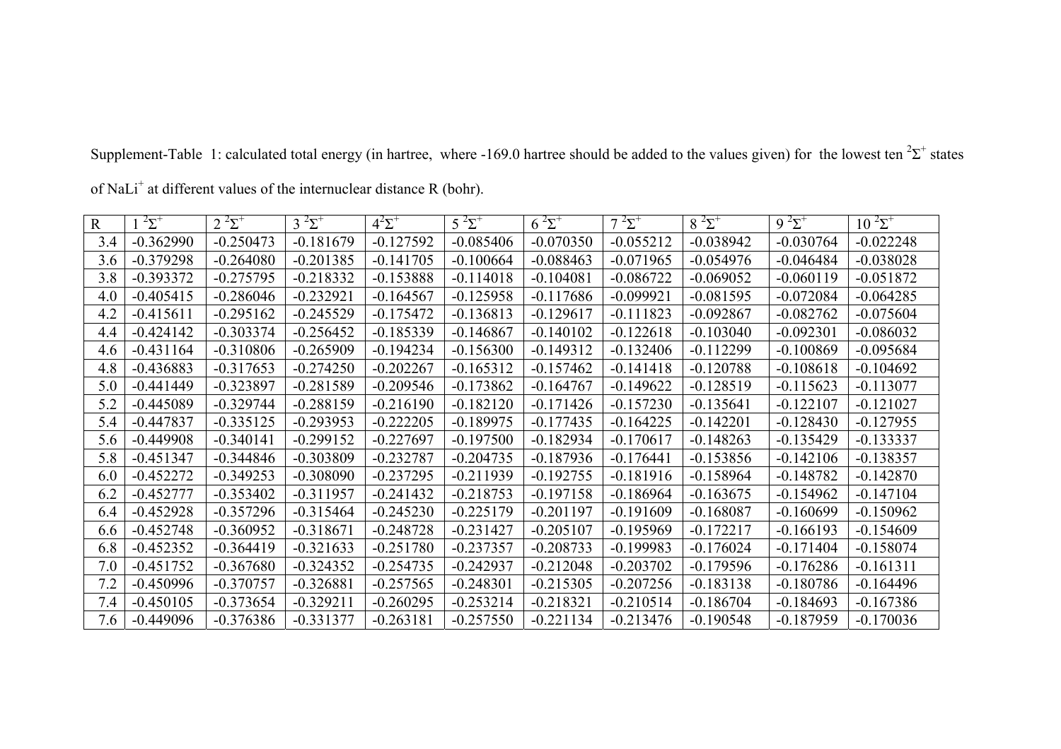| $\mathbf R$ | $2\Sigma^+$ | $2^{2}\Sigma^{+}$ | $3^{2}\Sigma^{+}$ | $4^2\Sigma^+$ | $5^{2} \Sigma^{+}$ | $6^{2}\Sigma^{+}$ | $7^{2} \Sigma^{+}$ | $8^{2} \Sigma^{+}$ | $9^{2} \Sigma^{+}$ | $10^{2} \Sigma^{+}$ |
|-------------|-------------|-------------------|-------------------|---------------|--------------------|-------------------|--------------------|--------------------|--------------------|---------------------|
| 3.4         | $-0.362990$ | $-0.250473$       | $-0.181679$       | $-0.127592$   | $-0.085406$        | $-0.070350$       | $-0.055212$        | $-0.038942$        | $-0.030764$        | $-0.022248$         |
| 3.6         | $-0.379298$ | $-0.264080$       | $-0.201385$       | $-0.141705$   | $-0.100664$        | $-0.088463$       | $-0.071965$        | $-0.054976$        | $-0.046484$        | $-0.038028$         |
| 3.8         | $-0.393372$ | $-0.275795$       | $-0.218332$       | $-0.153888$   | $-0.114018$        | $-0.104081$       | $-0.086722$        | $-0.069052$        | $-0.060119$        | $-0.051872$         |
| 4.0         | $-0.405415$ | $-0.286046$       | $-0.232921$       | $-0.164567$   | $-0.125958$        | $-0.117686$       | $-0.099921$        | $-0.081595$        | $-0.072084$        | $-0.064285$         |
| 4.2         | $-0.415611$ | $-0.295162$       | $-0.245529$       | $-0.175472$   | $-0.136813$        | $-0.129617$       | $-0.111823$        | $-0.092867$        | $-0.082762$        | $-0.075604$         |
| 4.4         | $-0.424142$ | $-0.303374$       | $-0.256452$       | $-0.185339$   | $-0.146867$        | $-0.140102$       | $-0.122618$        | $-0.103040$        | $-0.092301$        | $-0.086032$         |
| 4.6         | $-0.431164$ | $-0.310806$       | $-0.265909$       | $-0.194234$   | $-0.156300$        | $-0.149312$       | $-0.132406$        | $-0.112299$        | $-0.100869$        | $-0.095684$         |
| 4.8         | $-0.436883$ | $-0.317653$       | $-0.274250$       | $-0.202267$   | $-0.165312$        | $-0.157462$       | $-0.141418$        | $-0.120788$        | $-0.108618$        | $-0.104692$         |
| 5.0         | $-0.441449$ | $-0.323897$       | $-0.281589$       | $-0.209546$   | $-0.173862$        | $-0.164767$       | $-0.149622$        | $-0.128519$        | $-0.115623$        | $-0.113077$         |
| 5.2         | $-0.445089$ | $-0.329744$       | $-0.288159$       | $-0.216190$   | $-0.182120$        | $-0.171426$       | $-0.157230$        | $-0.135641$        | $-0.122107$        | $-0.121027$         |
| 5.4         | $-0.447837$ | $-0.335125$       | $-0.293953$       | $-0.222205$   | $-0.189975$        | $-0.177435$       | $-0.164225$        | $-0.142201$        | $-0.128430$        | $-0.127955$         |
| 5.6         | $-0.449908$ | $-0.340141$       | $-0.299152$       | $-0.227697$   | $-0.197500$        | $-0.182934$       | $-0.170617$        | $-0.148263$        | $-0.135429$        | $-0.133337$         |
| 5.8         | $-0.451347$ | $-0.344846$       | $-0.303809$       | $-0.232787$   | $-0.204735$        | $-0.187936$       | $-0.176441$        | $-0.153856$        | $-0.142106$        | $-0.138357$         |
| 6.0         | $-0.452272$ | $-0.349253$       | $-0.308090$       | $-0.237295$   | $-0.211939$        | $-0.192755$       | $-0.181916$        | $-0.158964$        | $-0.148782$        | $-0.142870$         |
| 6.2         | $-0.452777$ | $-0.353402$       | $-0.311957$       | $-0.241432$   | $-0.218753$        | $-0.197158$       | $-0.186964$        | $-0.163675$        | $-0.154962$        | $-0.147104$         |
| 6.4         | $-0.452928$ | $-0.357296$       | $-0.315464$       | $-0.245230$   | $-0.225179$        | $-0.201197$       | $-0.191609$        | $-0.168087$        | $-0.160699$        | $-0.150962$         |
| 6.6         | $-0.452748$ | $-0.360952$       | $-0.318671$       | $-0.248728$   | $-0.231427$        | $-0.205107$       | $-0.195969$        | $-0.172217$        | $-0.166193$        | $-0.154609$         |
| 6.8         | $-0.452352$ | $-0.364419$       | $-0.321633$       | $-0.251780$   | $-0.237357$        | $-0.208733$       | $-0.199983$        | $-0.176024$        | $-0.171404$        | $-0.158074$         |
| 7.0         | $-0.451752$ | $-0.367680$       | $-0.324352$       | $-0.254735$   | $-0.242937$        | $-0.212048$       | $-0.203702$        | $-0.179596$        | $-0.176286$        | $-0.161311$         |
| 7.2         | $-0.450996$ | $-0.370757$       | $-0.326881$       | $-0.257565$   | $-0.248301$        | $-0.215305$       | $-0.207256$        | $-0.183138$        | $-0.180786$        | $-0.164496$         |
| 7.4         | $-0.450105$ | $-0.373654$       | $-0.329211$       | $-0.260295$   | $-0.253214$        | $-0.218321$       | $-0.210514$        | $-0.186704$        | $-0.184693$        | $-0.167386$         |
| 7.6         | $-0.449096$ | $-0.376386$       | $-0.331377$       | $-0.263181$   | $-0.257550$        | $-0.221134$       | $-0.213476$        | $-0.190548$        | $-0.187959$        | $-0.170036$         |

Supplement-Table 1: calculated total energy (in hartree, where -169.0 hartree should be added to the values given) for the lowest ten  ${}^{2}\Sigma^{+}$  states

of NaLi<sup>+</sup> at different values of the internuclear distance R (bohr).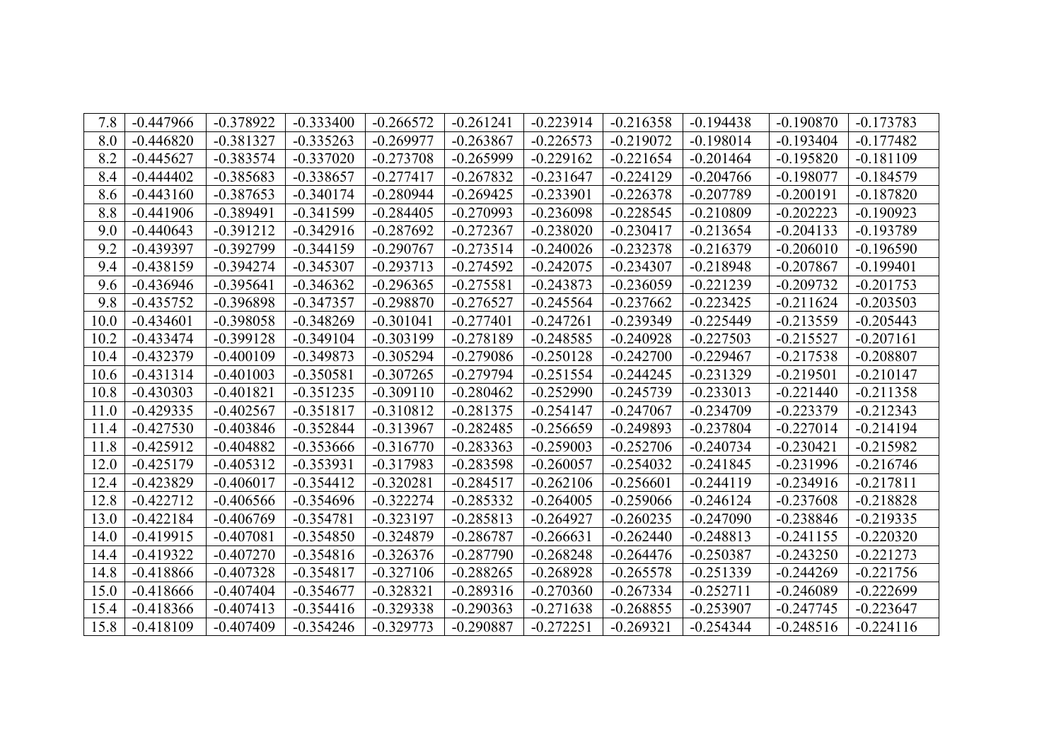| 7.8  | $-0.447966$ | $-0.378922$ | $-0.333400$ | $-0.266572$ | $-0.261241$ | $-0.223914$ | $-0.216358$ | $-0.194438$ | $-0.190870$ | $-0.173783$ |
|------|-------------|-------------|-------------|-------------|-------------|-------------|-------------|-------------|-------------|-------------|
| 8.0  | $-0.446820$ | $-0.381327$ | $-0.335263$ | $-0.269977$ | $-0.263867$ | $-0.226573$ | $-0.219072$ | $-0.198014$ | $-0.193404$ | $-0.177482$ |
| 8.2  | $-0.445627$ | $-0.383574$ | $-0.337020$ | $-0.273708$ | $-0.265999$ | $-0.229162$ | $-0.221654$ | $-0.201464$ | $-0.195820$ | $-0.181109$ |
| 8.4  | $-0.444402$ | $-0.385683$ | $-0.338657$ | $-0.277417$ | $-0.267832$ | $-0.231647$ | $-0.224129$ | $-0.204766$ | $-0.198077$ | $-0.184579$ |
| 8.6  | $-0.443160$ | $-0.387653$ | $-0.340174$ | $-0.280944$ | $-0.269425$ | $-0.233901$ | $-0.226378$ | $-0.207789$ | $-0.200191$ | $-0.187820$ |
| 8.8  | $-0.441906$ | $-0.389491$ | $-0.341599$ | $-0.284405$ | $-0.270993$ | $-0.236098$ | $-0.228545$ | $-0.210809$ | $-0.202223$ | $-0.190923$ |
| 9.0  | $-0.440643$ | $-0.391212$ | $-0.342916$ | $-0.287692$ | $-0.272367$ | $-0.238020$ | $-0.230417$ | $-0.213654$ | $-0.204133$ | $-0.193789$ |
| 9.2  | $-0.439397$ | $-0.392799$ | $-0.344159$ | $-0.290767$ | $-0.273514$ | $-0.240026$ | $-0.232378$ | $-0.216379$ | $-0.206010$ | $-0.196590$ |
| 9.4  | $-0.438159$ | $-0.394274$ | $-0.345307$ | $-0.293713$ | $-0.274592$ | $-0.242075$ | $-0.234307$ | $-0.218948$ | $-0.207867$ | $-0.199401$ |
| 9.6  | $-0.436946$ | $-0.395641$ | $-0.346362$ | $-0.296365$ | $-0.275581$ | $-0.243873$ | $-0.236059$ | $-0.221239$ | $-0.209732$ | $-0.201753$ |
| 9.8  | $-0.435752$ | $-0.396898$ | $-0.347357$ | $-0.298870$ | $-0.276527$ | $-0.245564$ | $-0.237662$ | $-0.223425$ | $-0.211624$ | $-0.203503$ |
| 10.0 | $-0.434601$ | $-0.398058$ | $-0.348269$ | $-0.301041$ | $-0.277401$ | $-0.247261$ | $-0.239349$ | $-0.225449$ | $-0.213559$ | $-0.205443$ |
| 10.2 | $-0.433474$ | $-0.399128$ | $-0.349104$ | $-0.303199$ | $-0.278189$ | $-0.248585$ | $-0.240928$ | $-0.227503$ | $-0.215527$ | $-0.207161$ |
| 10.4 | $-0.432379$ | $-0.400109$ | $-0.349873$ | $-0.305294$ | $-0.279086$ | $-0.250128$ | $-0.242700$ | $-0.229467$ | $-0.217538$ | $-0.208807$ |
| 10.6 | $-0.431314$ | $-0.401003$ | $-0.350581$ | $-0.307265$ | $-0.279794$ | $-0.251554$ | $-0.244245$ | $-0.231329$ | $-0.219501$ | $-0.210147$ |
| 10.8 | $-0.430303$ | $-0.401821$ | $-0.351235$ | $-0.309110$ | $-0.280462$ | $-0.252990$ | $-0.245739$ | $-0.233013$ | $-0.221440$ | $-0.211358$ |
| 11.0 | $-0.429335$ | $-0.402567$ | $-0.351817$ | $-0.310812$ | $-0.281375$ | $-0.254147$ | $-0.247067$ | $-0.234709$ | $-0.223379$ | $-0.212343$ |
| 11.4 | $-0.427530$ | $-0.403846$ | $-0.352844$ | $-0.313967$ | $-0.282485$ | $-0.256659$ | $-0.249893$ | $-0.237804$ | $-0.227014$ | $-0.214194$ |
| 11.8 | $-0.425912$ | $-0.404882$ | $-0.353666$ | $-0.316770$ | $-0.283363$ | $-0.259003$ | $-0.252706$ | $-0.240734$ | $-0.230421$ | $-0.215982$ |
| 12.0 | $-0.425179$ | $-0.405312$ | $-0.353931$ | $-0.317983$ | $-0.283598$ | $-0.260057$ | $-0.254032$ | $-0.241845$ | $-0.231996$ | $-0.216746$ |
| 12.4 | $-0.423829$ | $-0.406017$ | $-0.354412$ | $-0.320281$ | $-0.284517$ | $-0.262106$ | $-0.256601$ | $-0.244119$ | $-0.234916$ | $-0.217811$ |
| 12.8 | $-0.422712$ | $-0.406566$ | $-0.354696$ | $-0.322274$ | $-0.285332$ | $-0.264005$ | $-0.259066$ | $-0.246124$ | $-0.237608$ | $-0.218828$ |
| 13.0 | $-0.422184$ | $-0.406769$ | $-0.354781$ | $-0.323197$ | $-0.285813$ | $-0.264927$ | $-0.260235$ | $-0.247090$ | $-0.238846$ | $-0.219335$ |
| 14.0 | $-0.419915$ | $-0.407081$ | $-0.354850$ | $-0.324879$ | $-0.286787$ | $-0.266631$ | $-0.262440$ | $-0.248813$ | $-0.241155$ | $-0.220320$ |
| 14.4 | $-0.419322$ | $-0.407270$ | $-0.354816$ | $-0.326376$ | $-0.287790$ | $-0.268248$ | $-0.264476$ | $-0.250387$ | $-0.243250$ | $-0.221273$ |
| 14.8 | $-0.418866$ | $-0.407328$ | $-0.354817$ | $-0.327106$ | $-0.288265$ | $-0.268928$ | $-0.265578$ | $-0.251339$ | $-0.244269$ | $-0.221756$ |
| 15.0 | $-0.418666$ | $-0.407404$ | $-0.354677$ | $-0.328321$ | $-0.289316$ | $-0.270360$ | $-0.267334$ | $-0.252711$ | $-0.246089$ | $-0.222699$ |
| 15.4 | $-0.418366$ | $-0.407413$ | $-0.354416$ | $-0.329338$ | $-0.290363$ | $-0.271638$ | $-0.268855$ | $-0.253907$ | $-0.247745$ | $-0.223647$ |
| 15.8 | $-0.418109$ | $-0.407409$ | $-0.354246$ | $-0.329773$ | $-0.290887$ | $-0.272251$ | $-0.269321$ | $-0.254344$ | $-0.248516$ | $-0.224116$ |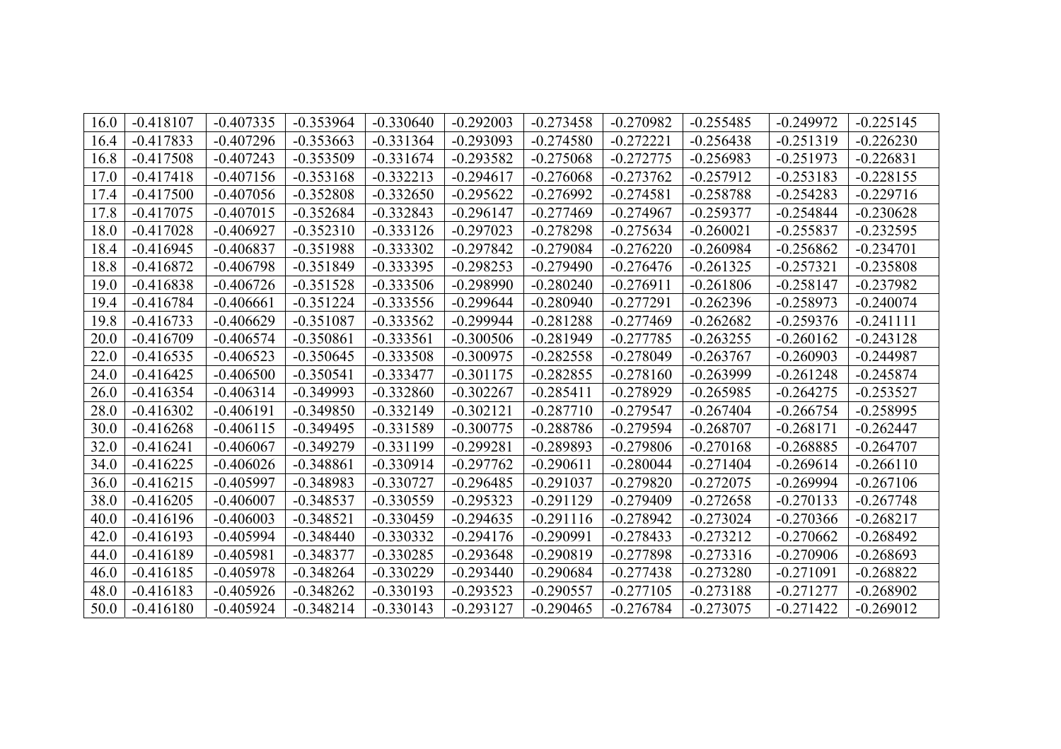| 16.0 | $-0.418107$ | $-0.407335$ | $-0.353964$ | $-0.330640$ | $-0.292003$ | $-0.273458$ | $-0.270982$ | $-0.255485$ | $-0.249972$ | $-0.225145$ |
|------|-------------|-------------|-------------|-------------|-------------|-------------|-------------|-------------|-------------|-------------|
| 16.4 | $-0.417833$ | $-0.407296$ | $-0.353663$ | $-0.331364$ | $-0.293093$ | $-0.274580$ | $-0.272221$ | $-0.256438$ | $-0.251319$ | $-0.226230$ |
| 16.8 | $-0.417508$ | $-0.407243$ | $-0.353509$ | $-0.331674$ | $-0.293582$ | $-0.275068$ | $-0.272775$ | $-0.256983$ | $-0.251973$ | $-0.226831$ |
| 17.0 | $-0.417418$ | $-0.407156$ | $-0.353168$ | $-0.332213$ | $-0.294617$ | $-0.276068$ | $-0.273762$ | $-0.257912$ | $-0.253183$ | $-0.228155$ |
| 17.4 | $-0.417500$ | $-0.407056$ | $-0.352808$ | $-0.332650$ | $-0.295622$ | $-0.276992$ | $-0.274581$ | $-0.258788$ | $-0.254283$ | $-0.229716$ |
| 17.8 | $-0.417075$ | $-0.407015$ | $-0.352684$ | $-0.332843$ | $-0.296147$ | $-0.277469$ | $-0.274967$ | $-0.259377$ | $-0.254844$ | $-0.230628$ |
| 18.0 | $-0.417028$ | $-0.406927$ | $-0.352310$ | $-0.333126$ | $-0.297023$ | $-0.278298$ | $-0.275634$ | $-0.260021$ | $-0.255837$ | $-0.232595$ |
| 18.4 | $-0.416945$ | $-0.406837$ | $-0.351988$ | $-0.333302$ | $-0.297842$ | $-0.279084$ | $-0.276220$ | $-0.260984$ | $-0.256862$ | $-0.234701$ |
| 18.8 | $-0.416872$ | $-0.406798$ | $-0.351849$ | $-0.333395$ | $-0.298253$ | $-0.279490$ | $-0.276476$ | $-0.261325$ | $-0.257321$ | $-0.235808$ |
| 19.0 | $-0.416838$ | $-0.406726$ | $-0.351528$ | $-0.333506$ | $-0.298990$ | $-0.280240$ | $-0.276911$ | $-0.261806$ | $-0.258147$ | $-0.237982$ |
| 19.4 | $-0.416784$ | $-0.406661$ | $-0.351224$ | $-0.333556$ | $-0.299644$ | $-0.280940$ | $-0.277291$ | $-0.262396$ | $-0.258973$ | $-0.240074$ |
| 19.8 | $-0.416733$ | $-0.406629$ | $-0.351087$ | $-0.333562$ | $-0.299944$ | $-0.281288$ | $-0.277469$ | $-0.262682$ | $-0.259376$ | $-0.241111$ |
| 20.0 | $-0.416709$ | $-0.406574$ | $-0.350861$ | $-0.333561$ | $-0.300506$ | $-0.281949$ | $-0.277785$ | $-0.263255$ | $-0.260162$ | $-0.243128$ |
| 22.0 | $-0.416535$ | $-0.406523$ | $-0.350645$ | $-0.333508$ | $-0.300975$ | $-0.282558$ | $-0.278049$ | $-0.263767$ | $-0.260903$ | $-0.244987$ |
| 24.0 | $-0.416425$ | $-0.406500$ | $-0.350541$ | $-0.333477$ | $-0.301175$ | $-0.282855$ | $-0.278160$ | $-0.263999$ | $-0.261248$ | $-0.245874$ |
| 26.0 | $-0.416354$ | $-0.406314$ | $-0.349993$ | $-0.332860$ | $-0.302267$ | $-0.285411$ | $-0.278929$ | $-0.265985$ | $-0.264275$ | $-0.253527$ |
| 28.0 | $-0.416302$ | $-0.406191$ | $-0.349850$ | $-0.332149$ | $-0.302121$ | $-0.287710$ | $-0.279547$ | $-0.267404$ | $-0.266754$ | $-0.258995$ |
| 30.0 | $-0.416268$ | $-0.406115$ | $-0.349495$ | $-0.331589$ | $-0.300775$ | $-0.288786$ | $-0.279594$ | $-0.268707$ | $-0.268171$ | $-0.262447$ |
| 32.0 | $-0.416241$ | $-0.406067$ | $-0.349279$ | $-0.331199$ | $-0.299281$ | $-0.289893$ | $-0.279806$ | $-0.270168$ | $-0.268885$ | $-0.264707$ |
| 34.0 | $-0.416225$ | $-0.406026$ | $-0.348861$ | $-0.330914$ | $-0.297762$ | $-0.290611$ | $-0.280044$ | $-0.271404$ | $-0.269614$ | $-0.266110$ |
| 36.0 | $-0.416215$ | $-0.405997$ | $-0.348983$ | $-0.330727$ | $-0.296485$ | $-0.291037$ | $-0.279820$ | $-0.272075$ | $-0.269994$ | $-0.267106$ |
| 38.0 | $-0.416205$ | $-0.406007$ | $-0.348537$ | $-0.330559$ | $-0.295323$ | $-0.291129$ | $-0.279409$ | $-0.272658$ | $-0.270133$ | $-0.267748$ |
| 40.0 | $-0.416196$ | $-0.406003$ | $-0.348521$ | $-0.330459$ | $-0.294635$ | $-0.291116$ | $-0.278942$ | $-0.273024$ | $-0.270366$ | $-0.268217$ |
| 42.0 | $-0.416193$ | $-0.405994$ | $-0.348440$ | $-0.330332$ | $-0.294176$ | $-0.290991$ | $-0.278433$ | $-0.273212$ | $-0.270662$ | $-0.268492$ |
| 44.0 | $-0.416189$ | $-0.405981$ | $-0.348377$ | $-0.330285$ | $-0.293648$ | $-0.290819$ | $-0.277898$ | $-0.273316$ | $-0.270906$ | $-0.268693$ |
| 46.0 | $-0.416185$ | $-0.405978$ | $-0.348264$ | $-0.330229$ | $-0.293440$ | $-0.290684$ | $-0.277438$ | $-0.273280$ | $-0.271091$ | $-0.268822$ |
| 48.0 | $-0.416183$ | $-0.405926$ | $-0.348262$ | $-0.330193$ | $-0.293523$ | $-0.290557$ | $-0.277105$ | $-0.273188$ | $-0.271277$ | $-0.268902$ |
| 50.0 | $-0.416180$ | $-0.405924$ | $-0.348214$ | $-0.330143$ | $-0.293127$ | $-0.290465$ | $-0.276784$ | $-0.273075$ | $-0.271422$ | $-0.269012$ |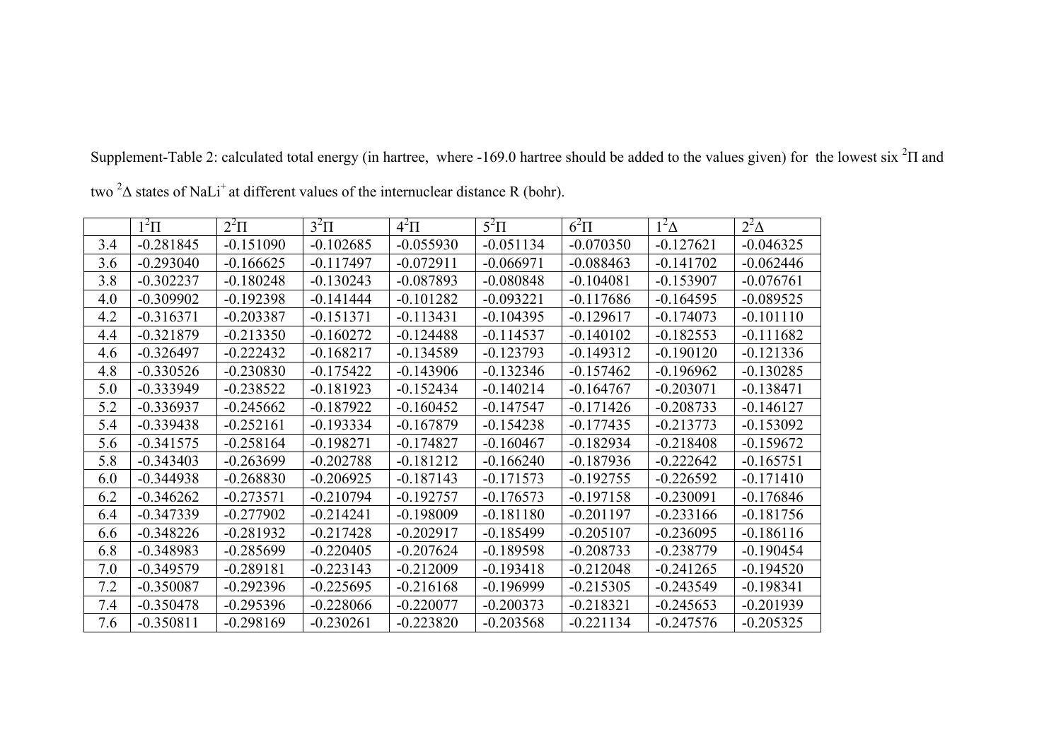|     | $1^2\Pi$    | $2^2\Pi$    | $3^2\Pi$    | $4^2\Pi$    | $5^2\Pi$    | $6^2\Pi$    | $1^2\Delta$ | $2^2\Delta$ |
|-----|-------------|-------------|-------------|-------------|-------------|-------------|-------------|-------------|
| 3.4 | $-0.281845$ | $-0.151090$ | $-0.102685$ | $-0.055930$ | $-0.051134$ | $-0.070350$ | $-0.127621$ | $-0.046325$ |
| 3.6 | $-0.293040$ | $-0.166625$ | $-0.117497$ | $-0.072911$ | $-0.066971$ | $-0.088463$ | $-0.141702$ | $-0.062446$ |
| 3.8 | $-0.302237$ | $-0.180248$ | $-0.130243$ | $-0.087893$ | $-0.080848$ | $-0.104081$ | $-0.153907$ | $-0.076761$ |
| 4.0 | $-0.309902$ | $-0.192398$ | $-0.141444$ | $-0.101282$ | $-0.093221$ | $-0.117686$ | $-0.164595$ | $-0.089525$ |
| 4.2 | $-0.316371$ | $-0.203387$ | $-0.151371$ | $-0.113431$ | $-0.104395$ | $-0.129617$ | $-0.174073$ | $-0.101110$ |
| 4.4 | $-0.321879$ | $-0.213350$ | $-0.160272$ | $-0.124488$ | $-0.114537$ | $-0.140102$ | $-0.182553$ | $-0.111682$ |
| 4.6 | $-0.326497$ | $-0.222432$ | $-0.168217$ | $-0.134589$ | $-0.123793$ | $-0.149312$ | $-0.190120$ | $-0.121336$ |
| 4.8 | $-0.330526$ | $-0.230830$ | $-0.175422$ | $-0.143906$ | $-0.132346$ | $-0.157462$ | $-0.196962$ | $-0.130285$ |
| 5.0 | $-0.333949$ | $-0.238522$ | $-0.181923$ | $-0.152434$ | $-0.140214$ | $-0.164767$ | $-0.203071$ | $-0.138471$ |
| 5.2 | $-0.336937$ | $-0.245662$ | $-0.187922$ | $-0.160452$ | $-0.147547$ | $-0.171426$ | $-0.208733$ | $-0.146127$ |
| 5.4 | $-0.339438$ | $-0.252161$ | $-0.193334$ | $-0.167879$ | $-0.154238$ | $-0.177435$ | $-0.213773$ | $-0.153092$ |
| 5.6 | $-0.341575$ | $-0.258164$ | $-0.198271$ | $-0.174827$ | $-0.160467$ | $-0.182934$ | $-0.218408$ | $-0.159672$ |
| 5.8 | $-0.343403$ | $-0.263699$ | $-0.202788$ | $-0.181212$ | $-0.166240$ | $-0.187936$ | $-0.222642$ | $-0.165751$ |
| 6.0 | $-0.344938$ | $-0.268830$ | $-0.206925$ | $-0.187143$ | $-0.171573$ | $-0.192755$ | $-0.226592$ | $-0.171410$ |
| 6.2 | $-0.346262$ | $-0.273571$ | $-0.210794$ | $-0.192757$ | $-0.176573$ | $-0.197158$ | $-0.230091$ | $-0.176846$ |
| 6.4 | $-0.347339$ | $-0.277902$ | $-0.214241$ | $-0.198009$ | $-0.181180$ | $-0.201197$ | $-0.233166$ | $-0.181756$ |
| 6.6 | $-0.348226$ | $-0.281932$ | $-0.217428$ | $-0.202917$ | $-0.185499$ | $-0.205107$ | $-0.236095$ | $-0.186116$ |
| 6.8 | $-0.348983$ | $-0.285699$ | $-0.220405$ | $-0.207624$ | $-0.189598$ | $-0.208733$ | $-0.238779$ | $-0.190454$ |
| 7.0 | $-0.349579$ | $-0.289181$ | $-0.223143$ | $-0.212009$ | $-0.193418$ | $-0.212048$ | $-0.241265$ | $-0.194520$ |
| 7.2 | $-0.350087$ | $-0.292396$ | $-0.225695$ | $-0.216168$ | $-0.196999$ | $-0.215305$ | $-0.243549$ | $-0.198341$ |
| 7.4 | $-0.350478$ | $-0.295396$ | $-0.228066$ | $-0.220077$ | $-0.200373$ | $-0.218321$ | $-0.245653$ | $-0.201939$ |
| 7.6 | $-0.350811$ | $-0.298169$ | $-0.230261$ | $-0.223820$ | $-0.203568$ | $-0.221134$ | $-0.247576$ | $-0.205325$ |

Supplement-Table 2: calculated total energy (in hartree, where -169.0 hartree should be added to the values given) for the lowest six  ${}^{2}$ H and

two <sup>2</sup> $\Delta$  states of NaLi<sup>+</sup> at different values of the internuclear distance R (bohr).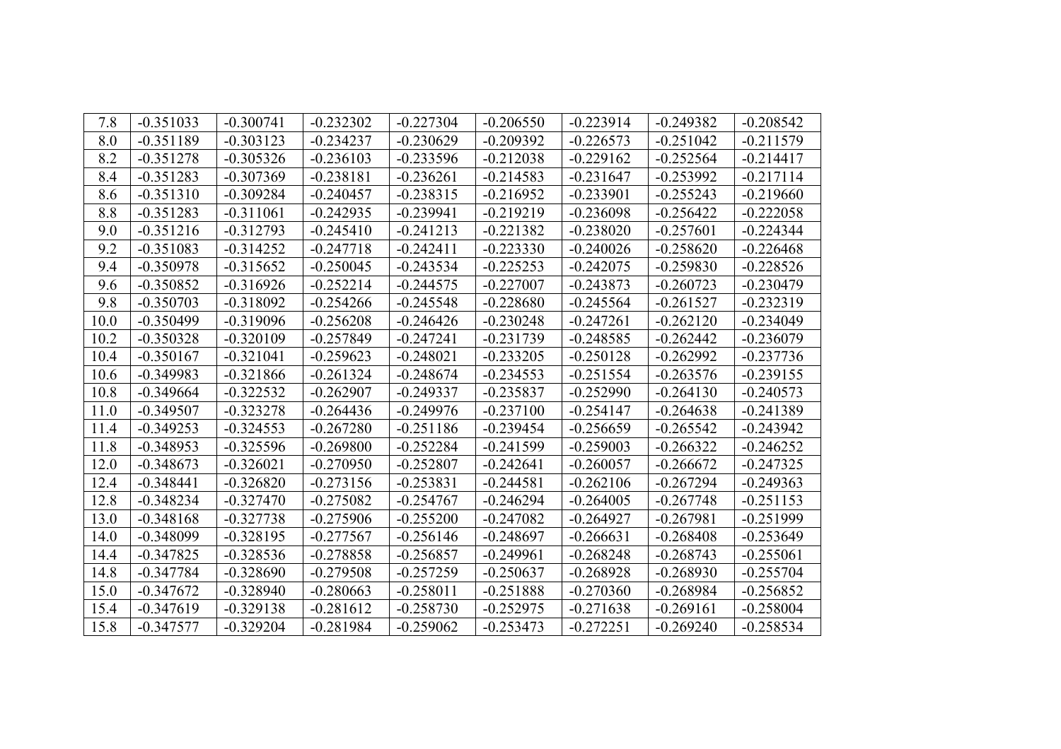| 7.8  | $-0.351033$ | $-0.300741$ | $-0.232302$ | $-0.227304$ | $-0.206550$ | $-0.223914$ | $-0.249382$ | $-0.208542$ |
|------|-------------|-------------|-------------|-------------|-------------|-------------|-------------|-------------|
| 8.0  | $-0.351189$ | $-0.303123$ | $-0.234237$ | $-0.230629$ | $-0.209392$ | $-0.226573$ | $-0.251042$ | $-0.211579$ |
| 8.2  | $-0.351278$ | $-0.305326$ | $-0.236103$ | $-0.233596$ | $-0.212038$ | $-0.229162$ | $-0.252564$ | $-0.214417$ |
| 8.4  | $-0.351283$ | $-0.307369$ | $-0.238181$ | $-0.236261$ | $-0.214583$ | $-0.231647$ | $-0.253992$ | $-0.217114$ |
| 8.6  | $-0.351310$ | $-0.309284$ | $-0.240457$ | $-0.238315$ | $-0.216952$ | $-0.233901$ | $-0.255243$ | $-0.219660$ |
| 8.8  | $-0.351283$ | $-0.311061$ | $-0.242935$ | $-0.239941$ | $-0.219219$ | $-0.236098$ | $-0.256422$ | $-0.222058$ |
| 9.0  | $-0.351216$ | $-0.312793$ | $-0.245410$ | $-0.241213$ | $-0.221382$ | $-0.238020$ | $-0.257601$ | $-0.224344$ |
| 9.2  | $-0.351083$ | $-0.314252$ | $-0.247718$ | $-0.242411$ | $-0.223330$ | $-0.240026$ | $-0.258620$ | $-0.226468$ |
| 9.4  | $-0.350978$ | $-0.315652$ | $-0.250045$ | $-0.243534$ | $-0.225253$ | $-0.242075$ | $-0.259830$ | $-0.228526$ |
| 9.6  | $-0.350852$ | $-0.316926$ | $-0.252214$ | $-0.244575$ | $-0.227007$ | $-0.243873$ | $-0.260723$ | $-0.230479$ |
| 9.8  | $-0.350703$ | $-0.318092$ | $-0.254266$ | $-0.245548$ | $-0.228680$ | $-0.245564$ | $-0.261527$ | $-0.232319$ |
| 10.0 | $-0.350499$ | $-0.319096$ | $-0.256208$ | $-0.246426$ | $-0.230248$ | $-0.247261$ | $-0.262120$ | $-0.234049$ |
| 10.2 | $-0.350328$ | $-0.320109$ | $-0.257849$ | $-0.247241$ | $-0.231739$ | $-0.248585$ | $-0.262442$ | $-0.236079$ |
| 10.4 | $-0.350167$ | $-0.321041$ | $-0.259623$ | $-0.248021$ | $-0.233205$ | $-0.250128$ | $-0.262992$ | $-0.237736$ |
| 10.6 | $-0.349983$ | $-0.321866$ | $-0.261324$ | $-0.248674$ | $-0.234553$ | $-0.251554$ | $-0.263576$ | $-0.239155$ |
| 10.8 | $-0.349664$ | $-0.322532$ | $-0.262907$ | $-0.249337$ | $-0.235837$ | $-0.252990$ | $-0.264130$ | $-0.240573$ |
| 11.0 | $-0.349507$ | $-0.323278$ | $-0.264436$ | $-0.249976$ | $-0.237100$ | $-0.254147$ | $-0.264638$ | $-0.241389$ |
| 11.4 | $-0.349253$ | $-0.324553$ | $-0.267280$ | $-0.251186$ | $-0.239454$ | $-0.256659$ | $-0.265542$ | $-0.243942$ |
| 11.8 | $-0.348953$ | $-0.325596$ | $-0.269800$ | $-0.252284$ | $-0.241599$ | $-0.259003$ | $-0.266322$ | $-0.246252$ |
| 12.0 | $-0.348673$ | $-0.326021$ | $-0.270950$ | $-0.252807$ | $-0.242641$ | $-0.260057$ | $-0.266672$ | $-0.247325$ |
| 12.4 | $-0.348441$ | $-0.326820$ | $-0.273156$ | $-0.253831$ | $-0.244581$ | $-0.262106$ | $-0.267294$ | $-0.249363$ |
| 12.8 | $-0.348234$ | $-0.327470$ | $-0.275082$ | $-0.254767$ | $-0.246294$ | $-0.264005$ | $-0.267748$ | $-0.251153$ |
| 13.0 | $-0.348168$ | $-0.327738$ | $-0.275906$ | $-0.255200$ | $-0.247082$ | $-0.264927$ | $-0.267981$ | $-0.251999$ |
| 14.0 | $-0.348099$ | $-0.328195$ | $-0.277567$ | $-0.256146$ | $-0.248697$ | $-0.266631$ | $-0.268408$ | $-0.253649$ |
| 14.4 | $-0.347825$ | $-0.328536$ | $-0.278858$ | $-0.256857$ | $-0.249961$ | $-0.268248$ | $-0.268743$ | $-0.255061$ |
| 14.8 | $-0.347784$ | $-0.328690$ | $-0.279508$ | $-0.257259$ | $-0.250637$ | $-0.268928$ | $-0.268930$ | $-0.255704$ |
| 15.0 | $-0.347672$ | $-0.328940$ | $-0.280663$ | $-0.258011$ | $-0.251888$ | $-0.270360$ | $-0.268984$ | $-0.256852$ |
| 15.4 | $-0.347619$ | $-0.329138$ | $-0.281612$ | $-0.258730$ | $-0.252975$ | $-0.271638$ | $-0.269161$ | $-0.258004$ |
| 15.8 | $-0.347577$ | $-0.329204$ | $-0.281984$ | $-0.259062$ | $-0.253473$ | $-0.272251$ | $-0.269240$ | $-0.258534$ |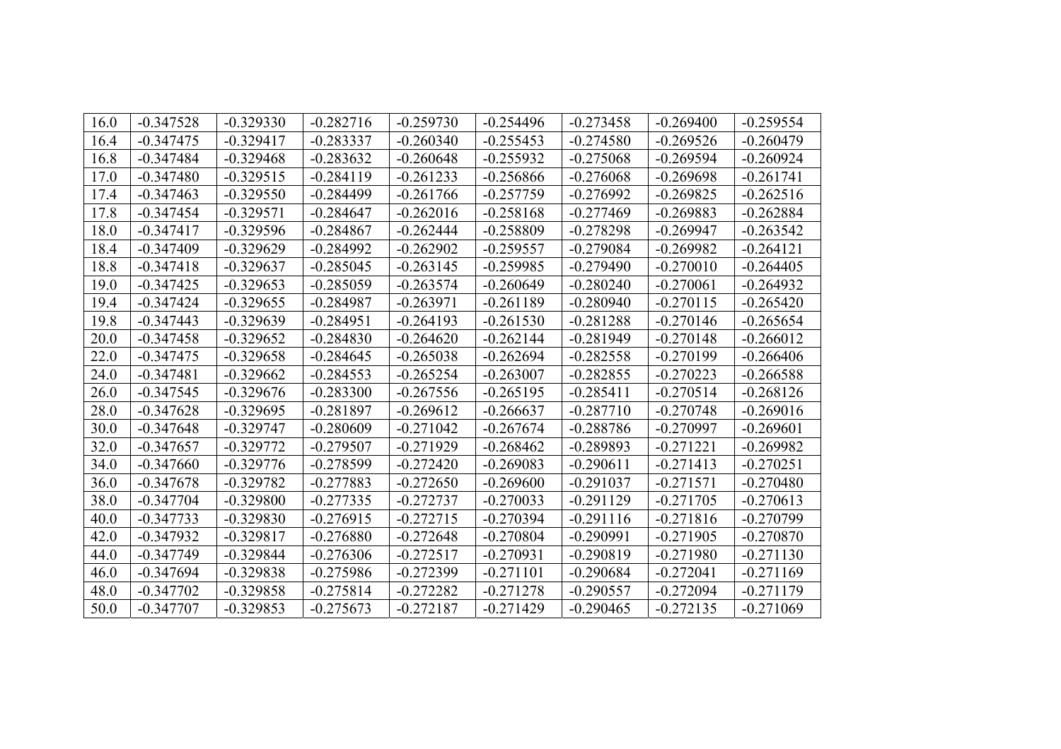| 16.0 | $-0.347528$ | $-0.329330$ | $-0.282716$ | $-0.259730$ | $-0.254496$ | $-0.273458$ | $-0.269400$ | $-0.259554$ |
|------|-------------|-------------|-------------|-------------|-------------|-------------|-------------|-------------|
| 16.4 | $-0.347475$ | $-0.329417$ | $-0.283337$ | $-0.260340$ | $-0.255453$ | $-0.274580$ | $-0.269526$ | $-0.260479$ |
| 16.8 | $-0.347484$ | $-0.329468$ | $-0.283632$ | $-0.260648$ | $-0.255932$ | $-0.275068$ | $-0.269594$ | $-0.260924$ |
| 17.0 | $-0.347480$ | $-0.329515$ | $-0.284119$ | $-0.261233$ | $-0.256866$ | $-0.276068$ | $-0.269698$ | $-0.261741$ |
| 17.4 | $-0.347463$ | $-0.329550$ | $-0.284499$ | $-0.261766$ | $-0.257759$ | $-0.276992$ | $-0.269825$ | $-0.262516$ |
| 17.8 | $-0.347454$ | $-0.329571$ | $-0.284647$ | $-0.262016$ | $-0.258168$ | $-0.277469$ | $-0.269883$ | $-0.262884$ |
| 18.0 | $-0.347417$ | $-0.329596$ | $-0.284867$ | $-0.262444$ | $-0.258809$ | $-0.278298$ | $-0.269947$ | $-0.263542$ |
| 18.4 | $-0.347409$ | $-0.329629$ | $-0.284992$ | $-0.262902$ | $-0.259557$ | $-0.279084$ | $-0.269982$ | $-0.264121$ |
| 18.8 | $-0.347418$ | $-0.329637$ | $-0.285045$ | $-0.263145$ | $-0.259985$ | $-0.279490$ | $-0.270010$ | $-0.264405$ |
| 19.0 | $-0.347425$ | $-0.329653$ | $-0.285059$ | $-0.263574$ | $-0.260649$ | $-0.280240$ | $-0.270061$ | $-0.264932$ |
| 19.4 | $-0.347424$ | $-0.329655$ | $-0.284987$ | $-0.263971$ | $-0.261189$ | $-0.280940$ | $-0.270115$ | $-0.265420$ |
| 19.8 | $-0.347443$ | $-0.329639$ | $-0.284951$ | $-0.264193$ | $-0.261530$ | $-0.281288$ | $-0.270146$ | $-0.265654$ |
| 20.0 | $-0.347458$ | $-0.329652$ | $-0.284830$ | $-0.264620$ | $-0.262144$ | $-0.281949$ | $-0.270148$ | $-0.266012$ |
| 22.0 | $-0.347475$ | $-0.329658$ | $-0.284645$ | $-0.265038$ | $-0.262694$ | $-0.282558$ | $-0.270199$ | $-0.266406$ |
| 24.0 | $-0.347481$ | $-0.329662$ | $-0.284553$ | $-0.265254$ | $-0.263007$ | $-0.282855$ | $-0.270223$ | $-0.266588$ |
| 26.0 | $-0.347545$ | $-0.329676$ | $-0.283300$ | $-0.267556$ | $-0.265195$ | $-0.285411$ | $-0.270514$ | $-0.268126$ |
| 28.0 | $-0.347628$ | $-0.329695$ | $-0.281897$ | $-0.269612$ | $-0.266637$ | $-0.287710$ | $-0.270748$ | $-0.269016$ |
| 30.0 | $-0.347648$ | $-0.329747$ | $-0.280609$ | $-0.271042$ | $-0.267674$ | $-0.288786$ | $-0.270997$ | $-0.269601$ |
| 32.0 | $-0.347657$ | $-0.329772$ | $-0.279507$ | $-0.271929$ | $-0.268462$ | $-0.289893$ | $-0.271221$ | $-0.269982$ |
| 34.0 | $-0.347660$ | $-0.329776$ | $-0.278599$ | $-0.272420$ | $-0.269083$ | $-0.290611$ | $-0.271413$ | $-0.270251$ |
| 36.0 | $-0.347678$ | $-0.329782$ | $-0.277883$ | $-0.272650$ | $-0.269600$ | $-0.291037$ | $-0.271571$ | $-0.270480$ |
| 38.0 | $-0.347704$ | $-0.329800$ | $-0.277335$ | $-0.272737$ | $-0.270033$ | $-0.291129$ | $-0.271705$ | $-0.270613$ |
| 40.0 | $-0.347733$ | $-0.329830$ | $-0.276915$ | $-0.272715$ | $-0.270394$ | $-0.291116$ | $-0.271816$ | $-0.270799$ |
| 42.0 | $-0.347932$ | $-0.329817$ | $-0.276880$ | $-0.272648$ | $-0.270804$ | $-0.290991$ | $-0.271905$ | $-0.270870$ |
| 44.0 | $-0.347749$ | $-0.329844$ | $-0.276306$ | $-0.272517$ | $-0.270931$ | $-0.290819$ | $-0.271980$ | $-0.271130$ |
| 46.0 | $-0.347694$ | $-0.329838$ | $-0.275986$ | $-0.272399$ | $-0.271101$ | $-0.290684$ | $-0.272041$ | $-0.271169$ |
| 48.0 | $-0.347702$ | $-0.329858$ | $-0.275814$ | $-0.272282$ | $-0.271278$ | $-0.290557$ | $-0.272094$ | $-0.271179$ |
| 50.0 | $-0.347707$ | $-0.329853$ | $-0.275673$ | $-0.272187$ | $-0.271429$ | $-0.290465$ | $-0.272135$ | $-0.271069$ |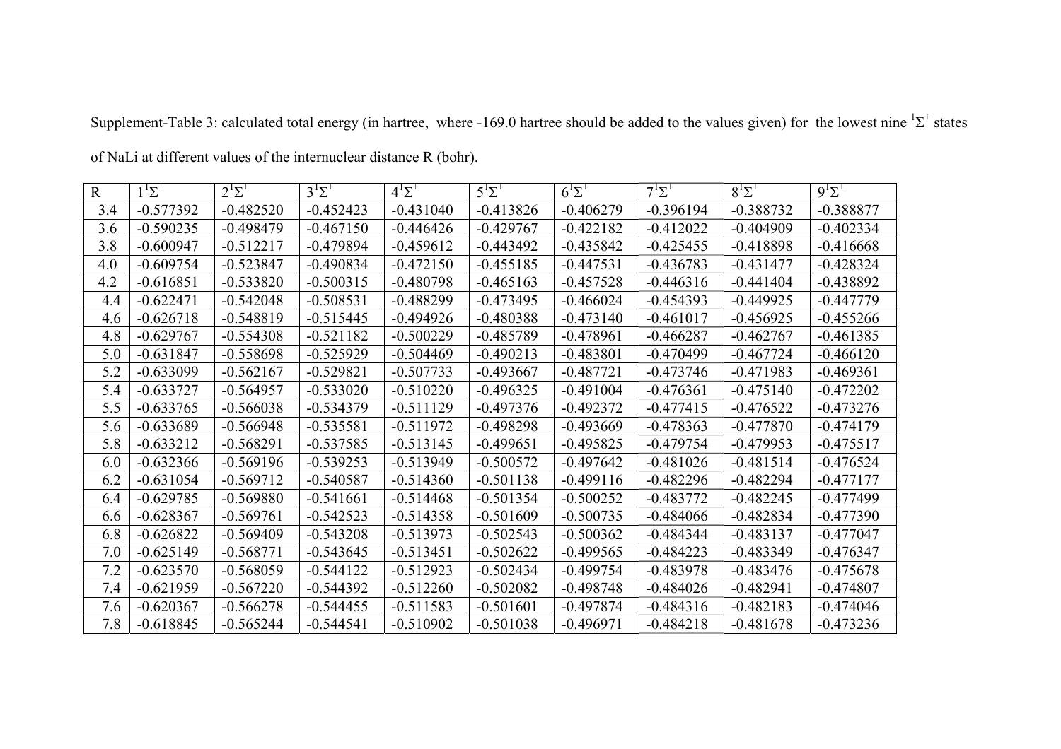| $\mathbf R$ | $1^1\Sigma^+$ | $2^1\Sigma^+$ | $3^1\Sigma^+$ | $4^1\Sigma^+$ | $5^1\Sigma^+$ | $6^1\Sigma^+$ | $7^1\Sigma^+$ | $8^{12}$    | $9^1\Sigma^+$ |
|-------------|---------------|---------------|---------------|---------------|---------------|---------------|---------------|-------------|---------------|
| 3.4         | $-0.577392$   | $-0.482520$   | $-0.452423$   | $-0.431040$   | $-0.413826$   | $-0.406279$   | $-0.396194$   | $-0.388732$ | $-0.388877$   |
| 3.6         | $-0.590235$   | $-0.498479$   | $-0.467150$   | $-0.446426$   | $-0.429767$   | $-0.422182$   | $-0.412022$   | $-0.404909$ | $-0.402334$   |
| 3.8         | $-0.600947$   | $-0.512217$   | $-0.479894$   | $-0.459612$   | $-0.443492$   | $-0.435842$   | $-0.425455$   | $-0.418898$ | $-0.416668$   |
| 4.0         | $-0.609754$   | $-0.523847$   | $-0.490834$   | $-0.472150$   | $-0.455185$   | $-0.447531$   | $-0.436783$   | $-0.431477$ | $-0.428324$   |
| 4.2         | $-0.616851$   | $-0.533820$   | $-0.500315$   | $-0.480798$   | $-0.465163$   | $-0.457528$   | $-0.446316$   | $-0.441404$ | $-0.438892$   |
| 4.4         | $-0.622471$   | $-0.542048$   | $-0.508531$   | $-0.488299$   | $-0.473495$   | $-0.466024$   | $-0.454393$   | $-0.449925$ | $-0.447779$   |
| 4.6         | $-0.626718$   | $-0.548819$   | $-0.515445$   | $-0.494926$   | $-0.480388$   | $-0.473140$   | $-0.461017$   | $-0.456925$ | $-0.455266$   |
| 4.8         | $-0.629767$   | $-0.554308$   | $-0.521182$   | $-0.500229$   | $-0.485789$   | $-0.478961$   | $-0.466287$   | $-0.462767$ | $-0.461385$   |
| 5.0         | $-0.631847$   | $-0.558698$   | $-0.525929$   | $-0.504469$   | $-0.490213$   | $-0.483801$   | $-0.470499$   | $-0.467724$ | $-0.466120$   |
| 5.2         | $-0.633099$   | $-0.562167$   | $-0.529821$   | $-0.507733$   | $-0.493667$   | $-0.487721$   | $-0.473746$   | $-0.471983$ | $-0.469361$   |
| 5.4         | $-0.633727$   | $-0.564957$   | $-0.533020$   | $-0.510220$   | $-0.496325$   | $-0.491004$   | $-0.476361$   | $-0.475140$ | $-0.472202$   |
| 5.5         | $-0.633765$   | $-0.566038$   | $-0.534379$   | $-0.511129$   | $-0.497376$   | $-0.492372$   | $-0.477415$   | $-0.476522$ | $-0.473276$   |
| 5.6         | $-0.633689$   | $-0.566948$   | $-0.535581$   | $-0.511972$   | $-0.498298$   | $-0.493669$   | $-0.478363$   | $-0.477870$ | $-0.474179$   |
| 5.8         | $-0.633212$   | $-0.568291$   | $-0.537585$   | $-0.513145$   | $-0.499651$   | $-0.495825$   | $-0.479754$   | $-0.479953$ | $-0.475517$   |
| 6.0         | $-0.632366$   | $-0.569196$   | $-0.539253$   | $-0.513949$   | $-0.500572$   | $-0.497642$   | $-0.481026$   | $-0.481514$ | $-0.476524$   |
| 6.2         | $-0.631054$   | $-0.569712$   | $-0.540587$   | $-0.514360$   | $-0.501138$   | $-0.499116$   | $-0.482296$   | $-0.482294$ | $-0.477177$   |
| 6.4         | $-0.629785$   | $-0.569880$   | $-0.541661$   | $-0.514468$   | $-0.501354$   | $-0.500252$   | $-0.483772$   | $-0.482245$ | $-0.477499$   |
| 6.6         | $-0.628367$   | $-0.569761$   | $-0.542523$   | $-0.514358$   | $-0.501609$   | $-0.500735$   | $-0.484066$   | $-0.482834$ | $-0.477390$   |
| 6.8         | $-0.626822$   | $-0.569409$   | $-0.543208$   | $-0.513973$   | $-0.502543$   | $-0.500362$   | $-0.484344$   | $-0.483137$ | $-0.477047$   |
| 7.0         | $-0.625149$   | $-0.568771$   | $-0.543645$   | $-0.513451$   | $-0.502622$   | $-0.499565$   | $-0.484223$   | $-0.483349$ | $-0.476347$   |
| 7.2         | $-0.623570$   | $-0.568059$   | $-0.544122$   | $-0.512923$   | $-0.502434$   | $-0.499754$   | $-0.483978$   | $-0.483476$ | $-0.475678$   |
| 7.4         | $-0.621959$   | $-0.567220$   | $-0.544392$   | $-0.512260$   | $-0.502082$   | $-0.498748$   | $-0.484026$   | $-0.482941$ | $-0.474807$   |
| 7.6         | $-0.620367$   | $-0.566278$   | $-0.544455$   | $-0.511583$   | $-0.501601$   | $-0.497874$   | $-0.484316$   | $-0.482183$ | $-0.474046$   |
| 7.8         | $-0.618845$   | $-0.565244$   | $-0.544541$   | $-0.510902$   | $-0.501038$   | $-0.496971$   | $-0.484218$   | $-0.481678$ | $-0.473236$   |

Supplement-Table 3: calculated total energy (in hartree, where -169.0 hartree should be added to the values given) for the lowest nine  ${}^{1}\Sigma^{+}$  states

of NaLi at different values of the internuclear distance R (bohr) .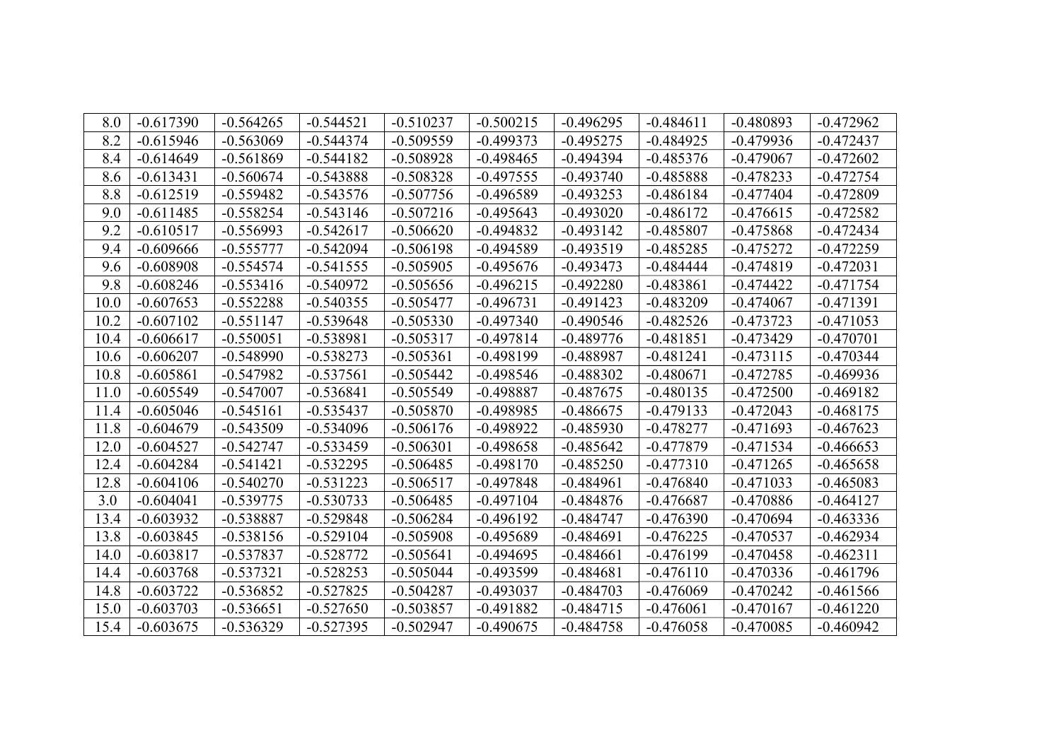| 8.0  | $-0.617390$ | $-0.564265$ | $-0.544521$ | $-0.510237$ | $-0.500215$ | $-0.496295$ | $-0.484611$ | $-0.480893$ | $-0.472962$ |
|------|-------------|-------------|-------------|-------------|-------------|-------------|-------------|-------------|-------------|
| 8.2  | $-0.615946$ | $-0.563069$ | $-0.544374$ | $-0.509559$ | $-0.499373$ | $-0.495275$ | $-0.484925$ | $-0.479936$ | $-0.472437$ |
| 8.4  | $-0.614649$ | $-0.561869$ | $-0.544182$ | $-0.508928$ | $-0.498465$ | $-0.494394$ | $-0.485376$ | $-0.479067$ | $-0.472602$ |
| 8.6  | $-0.613431$ | $-0.560674$ | $-0.543888$ | $-0.508328$ | $-0.497555$ | $-0.493740$ | $-0.485888$ | $-0.478233$ | $-0.472754$ |
| 8.8  | $-0.612519$ | $-0.559482$ | $-0.543576$ | $-0.507756$ | $-0.496589$ | $-0.493253$ | $-0.486184$ | $-0.477404$ | $-0.472809$ |
| 9.0  | $-0.611485$ | $-0.558254$ | $-0.543146$ | $-0.507216$ | $-0.495643$ | $-0.493020$ | $-0.486172$ | $-0.476615$ | $-0.472582$ |
| 9.2  | $-0.610517$ | $-0.556993$ | $-0.542617$ | $-0.506620$ | $-0.494832$ | $-0.493142$ | $-0.485807$ | $-0.475868$ | $-0.472434$ |
| 9.4  | $-0.609666$ | $-0.555777$ | $-0.542094$ | $-0.506198$ | $-0.494589$ | $-0.493519$ | $-0.485285$ | $-0.475272$ | $-0.472259$ |
| 9.6  | $-0.608908$ | $-0.554574$ | $-0.541555$ | $-0.505905$ | $-0.495676$ | $-0.493473$ | $-0.484444$ | $-0.474819$ | $-0.472031$ |
| 9.8  | $-0.608246$ | $-0.553416$ | $-0.540972$ | $-0.505656$ | $-0.496215$ | $-0.492280$ | $-0.483861$ | $-0.474422$ | $-0.471754$ |
| 10.0 | $-0.607653$ | $-0.552288$ | $-0.540355$ | $-0.505477$ | $-0.496731$ | $-0.491423$ | $-0.483209$ | $-0.474067$ | $-0.471391$ |
| 10.2 | $-0.607102$ | $-0.551147$ | $-0.539648$ | $-0.505330$ | $-0.497340$ | $-0.490546$ | $-0.482526$ | $-0.473723$ | $-0.471053$ |
| 10.4 | $-0.606617$ | $-0.550051$ | $-0.538981$ | $-0.505317$ | $-0.497814$ | $-0.489776$ | $-0.481851$ | $-0.473429$ | $-0.470701$ |
| 10.6 | $-0.606207$ | $-0.548990$ | $-0.538273$ | $-0.505361$ | $-0.498199$ | $-0.488987$ | $-0.481241$ | $-0.473115$ | $-0.470344$ |
| 10.8 | $-0.605861$ | $-0.547982$ | $-0.537561$ | $-0.505442$ | $-0.498546$ | $-0.488302$ | $-0.480671$ | $-0.472785$ | $-0.469936$ |
| 11.0 | $-0.605549$ | $-0.547007$ | $-0.536841$ | $-0.505549$ | $-0.498887$ | $-0.487675$ | $-0.480135$ | $-0.472500$ | $-0.469182$ |
| 11.4 | $-0.605046$ | $-0.545161$ | $-0.535437$ | $-0.505870$ | $-0.498985$ | $-0.486675$ | $-0.479133$ | $-0.472043$ | $-0.468175$ |
| 11.8 | $-0.604679$ | $-0.543509$ | $-0.534096$ | $-0.506176$ | $-0.498922$ | $-0.485930$ | $-0.478277$ | $-0.471693$ | $-0.467623$ |
| 12.0 | $-0.604527$ | $-0.542747$ | $-0.533459$ | $-0.506301$ | $-0.498658$ | $-0.485642$ | $-0.477879$ | $-0.471534$ | $-0.466653$ |
| 12.4 | $-0.604284$ | $-0.541421$ | $-0.532295$ | $-0.506485$ | $-0.498170$ | $-0.485250$ | $-0.477310$ | $-0.471265$ | $-0.465658$ |
| 12.8 | $-0.604106$ | $-0.540270$ | $-0.531223$ | $-0.506517$ | $-0.497848$ | $-0.484961$ | $-0.476840$ | $-0.471033$ | $-0.465083$ |
| 3.0  | $-0.604041$ | $-0.539775$ | $-0.530733$ | $-0.506485$ | $-0.497104$ | $-0.484876$ | $-0.476687$ | $-0.470886$ | $-0.464127$ |
| 13.4 | $-0.603932$ | $-0.538887$ | $-0.529848$ | $-0.506284$ | $-0.496192$ | $-0.484747$ | $-0.476390$ | $-0.470694$ | $-0.463336$ |
| 13.8 | $-0.603845$ | $-0.538156$ | $-0.529104$ | $-0.505908$ | $-0.495689$ | $-0.484691$ | $-0.476225$ | $-0.470537$ | $-0.462934$ |
| 14.0 | $-0.603817$ | $-0.537837$ | $-0.528772$ | $-0.505641$ | $-0.494695$ | $-0.484661$ | $-0.476199$ | $-0.470458$ | $-0.462311$ |
| 14.4 | $-0.603768$ | $-0.537321$ | $-0.528253$ | $-0.505044$ | $-0.493599$ | $-0.484681$ | $-0.476110$ | $-0.470336$ | $-0.461796$ |
| 14.8 | $-0.603722$ | $-0.536852$ | $-0.527825$ | $-0.504287$ | $-0.493037$ | $-0.484703$ | $-0.476069$ | $-0.470242$ | $-0.461566$ |
| 15.0 | $-0.603703$ | $-0.536651$ | $-0.527650$ | $-0.503857$ | $-0.491882$ | $-0.484715$ | $-0.476061$ | $-0.470167$ | $-0.461220$ |
| 15.4 | $-0.603675$ | $-0.536329$ | $-0.527395$ | $-0.502947$ | $-0.490675$ | $-0.484758$ | $-0.476058$ | $-0.470085$ | $-0.460942$ |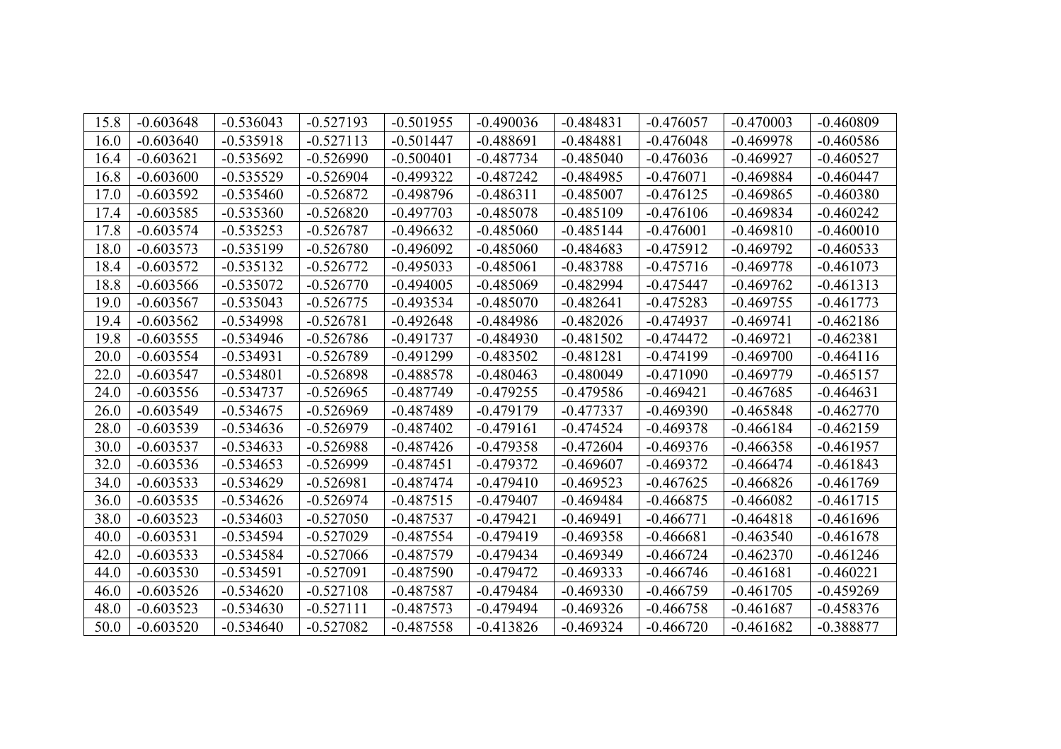| 15.8 | $-0.603648$ | $-0.536043$ | $-0.527193$ | $-0.501955$ | $-0.490036$ | $-0.484831$ | $-0.476057$ | $-0.470003$ | $-0.460809$ |
|------|-------------|-------------|-------------|-------------|-------------|-------------|-------------|-------------|-------------|
| 16.0 | $-0.603640$ | $-0.535918$ | $-0.527113$ | $-0.501447$ | $-0.488691$ | $-0.484881$ | $-0.476048$ | $-0.469978$ | $-0.460586$ |
| 16.4 | $-0.603621$ | $-0.535692$ | $-0.526990$ | $-0.500401$ | $-0.487734$ | $-0.485040$ | $-0.476036$ | $-0.469927$ | $-0.460527$ |
| 16.8 | $-0.603600$ | $-0.535529$ | $-0.526904$ | $-0.499322$ | $-0.487242$ | $-0.484985$ | $-0.476071$ | $-0.469884$ | $-0.460447$ |
| 17.0 | $-0.603592$ | $-0.535460$ | $-0.526872$ | $-0.498796$ | $-0.486311$ | $-0.485007$ | $-0.476125$ | $-0.469865$ | $-0.460380$ |
| 17.4 | $-0.603585$ | $-0.535360$ | $-0.526820$ | $-0.497703$ | $-0.485078$ | $-0.485109$ | $-0.476106$ | $-0.469834$ | $-0.460242$ |
| 17.8 | $-0.603574$ | $-0.535253$ | $-0.526787$ | $-0.496632$ | $-0.485060$ | $-0.485144$ | $-0.476001$ | $-0.469810$ | $-0.460010$ |
| 18.0 | $-0.603573$ | $-0.535199$ | $-0.526780$ | $-0.496092$ | $-0.485060$ | $-0.484683$ | $-0.475912$ | $-0.469792$ | $-0.460533$ |
| 18.4 | $-0.603572$ | $-0.535132$ | $-0.526772$ | $-0.495033$ | $-0.485061$ | $-0.483788$ | $-0.475716$ | $-0.469778$ | $-0.461073$ |
| 18.8 | $-0.603566$ | $-0.535072$ | $-0.526770$ | $-0.494005$ | $-0.485069$ | $-0.482994$ | $-0.475447$ | $-0.469762$ | $-0.461313$ |
| 19.0 | $-0.603567$ | $-0.535043$ | $-0.526775$ | $-0.493534$ | $-0.485070$ | $-0.482641$ | $-0.475283$ | $-0.469755$ | $-0.461773$ |
| 19.4 | $-0.603562$ | $-0.534998$ | $-0.526781$ | $-0.492648$ | $-0.484986$ | $-0.482026$ | $-0.474937$ | $-0.469741$ | $-0.462186$ |
| 19.8 | $-0.603555$ | $-0.534946$ | $-0.526786$ | $-0.491737$ | $-0.484930$ | $-0.481502$ | $-0.474472$ | $-0.469721$ | $-0.462381$ |
| 20.0 | $-0.603554$ | $-0.534931$ | $-0.526789$ | $-0.491299$ | $-0.483502$ | $-0.481281$ | $-0.474199$ | $-0.469700$ | $-0.464116$ |
| 22.0 | $-0.603547$ | $-0.534801$ | $-0.526898$ | $-0.488578$ | $-0.480463$ | $-0.480049$ | $-0.471090$ | $-0.469779$ | $-0.465157$ |
| 24.0 | $-0.603556$ | $-0.534737$ | $-0.526965$ | $-0.487749$ | $-0.479255$ | $-0.479586$ | $-0.469421$ | $-0.467685$ | $-0.464631$ |
| 26.0 | $-0.603549$ | $-0.534675$ | $-0.526969$ | $-0.487489$ | $-0.479179$ | $-0.477337$ | $-0.469390$ | $-0.465848$ | $-0.462770$ |
| 28.0 | $-0.603539$ | $-0.534636$ | $-0.526979$ | $-0.487402$ | $-0.479161$ | $-0.474524$ | $-0.469378$ | $-0.466184$ | $-0.462159$ |
| 30.0 | $-0.603537$ | $-0.534633$ | $-0.526988$ | $-0.487426$ | $-0.479358$ | $-0.472604$ | $-0.469376$ | $-0.466358$ | $-0.461957$ |
| 32.0 | $-0.603536$ | $-0.534653$ | $-0.526999$ | $-0.487451$ | $-0.479372$ | $-0.469607$ | $-0.469372$ | $-0.466474$ | $-0.461843$ |
| 34.0 | $-0.603533$ | $-0.534629$ | $-0.526981$ | $-0.487474$ | $-0.479410$ | $-0.469523$ | $-0.467625$ | $-0.466826$ | $-0.461769$ |
| 36.0 | $-0.603535$ | $-0.534626$ | $-0.526974$ | $-0.487515$ | $-0.479407$ | $-0.469484$ | $-0.466875$ | $-0.466082$ | $-0.461715$ |
| 38.0 | $-0.603523$ | $-0.534603$ | $-0.527050$ | $-0.487537$ | $-0.479421$ | $-0.469491$ | $-0.466771$ | $-0.464818$ | $-0.461696$ |
| 40.0 | $-0.603531$ | $-0.534594$ | $-0.527029$ | $-0.487554$ | $-0.479419$ | $-0.469358$ | $-0.466681$ | $-0.463540$ | $-0.461678$ |
| 42.0 | $-0.603533$ | $-0.534584$ | $-0.527066$ | $-0.487579$ | $-0.479434$ | $-0.469349$ | $-0.466724$ | $-0.462370$ | $-0.461246$ |
| 44.0 | $-0.603530$ | $-0.534591$ | $-0.527091$ | $-0.487590$ | $-0.479472$ | $-0.469333$ | $-0.466746$ | $-0.461681$ | $-0.460221$ |
| 46.0 | $-0.603526$ | $-0.534620$ | $-0.527108$ | $-0.487587$ | $-0.479484$ | $-0.469330$ | $-0.466759$ | $-0.461705$ | $-0.459269$ |
| 48.0 | $-0.603523$ | $-0.534630$ | $-0.527111$ | $-0.487573$ | $-0.479494$ | $-0.469326$ | $-0.466758$ | $-0.461687$ | $-0.458376$ |
| 50.0 | $-0.603520$ | $-0.534640$ | $-0.527082$ | $-0.487558$ | $-0.413826$ | $-0.469324$ | $-0.466720$ | $-0.461682$ | $-0.388877$ |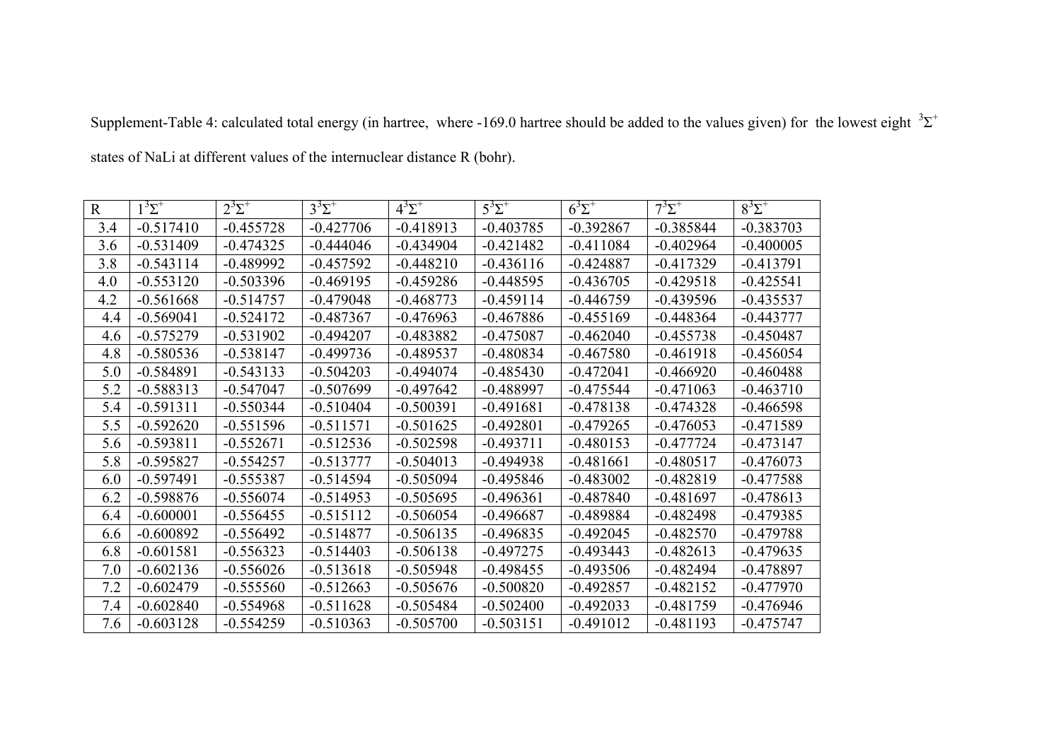| $\mathbf{R}$ | $1^3\Sigma^+$ | $2^3\Sigma^+$ | $3^3\Sigma^+$ | $4^3\Sigma^+$ | $5^3\Sigma^+$ | $6^3\Sigma^+$ | $7^3\Sigma^+$ | $8^3\Sigma^+$ |
|--------------|---------------|---------------|---------------|---------------|---------------|---------------|---------------|---------------|
| 3.4          | $-0.517410$   | $-0.455728$   | $-0.427706$   | $-0.418913$   | $-0.403785$   | $-0.392867$   | $-0.385844$   | $-0.383703$   |
| 3.6          | $-0.531409$   | $-0.474325$   | $-0.444046$   | $-0.434904$   | $-0.421482$   | $-0.411084$   | $-0.402964$   | $-0.400005$   |
| 3.8          | $-0.543114$   | $-0.489992$   | $-0.457592$   | $-0.448210$   | $-0.436116$   | $-0.424887$   | $-0.417329$   | $-0.413791$   |
| 4.0          | $-0.553120$   | $-0.503396$   | $-0.469195$   | $-0.459286$   | $-0.448595$   | $-0.436705$   | $-0.429518$   | $-0.425541$   |
| 4.2          | $-0.561668$   | $-0.514757$   | $-0.479048$   | $-0.468773$   | $-0.459114$   | $-0.446759$   | $-0.439596$   | $-0.435537$   |
| 4.4          | $-0.569041$   | $-0.524172$   | $-0.487367$   | $-0.476963$   | $-0.467886$   | $-0.455169$   | $-0.448364$   | $-0.443777$   |
| 4.6          | $-0.575279$   | $-0.531902$   | $-0.494207$   | $-0.483882$   | $-0.475087$   | $-0.462040$   | $-0.455738$   | $-0.450487$   |
| 4.8          | $-0.580536$   | $-0.538147$   | $-0.499736$   | $-0.489537$   | $-0.480834$   | $-0.467580$   | $-0.461918$   | $-0.456054$   |
| 5.0          | $-0.584891$   | $-0.543133$   | $-0.504203$   | $-0.494074$   | $-0.485430$   | $-0.472041$   | $-0.466920$   | $-0.460488$   |
| 5.2          | $-0.588313$   | $-0.547047$   | $-0.507699$   | $-0.497642$   | $-0.488997$   | $-0.475544$   | $-0.471063$   | $-0.463710$   |
| 5.4          | $-0.591311$   | $-0.550344$   | $-0.510404$   | $-0.500391$   | $-0.491681$   | $-0.478138$   | $-0.474328$   | $-0.466598$   |
| 5.5          | $-0.592620$   | $-0.551596$   | $-0.511571$   | $-0.501625$   | $-0.492801$   | $-0.479265$   | $-0.476053$   | $-0.471589$   |
| 5.6          | $-0.593811$   | $-0.552671$   | $-0.512536$   | $-0.502598$   | $-0.493711$   | $-0.480153$   | $-0.477724$   | $-0.473147$   |
| 5.8          | $-0.595827$   | $-0.554257$   | $-0.513777$   | $-0.504013$   | $-0.494938$   | $-0.481661$   | $-0.480517$   | $-0.476073$   |
| 6.0          | $-0.597491$   | $-0.555387$   | $-0.514594$   | $-0.505094$   | $-0.495846$   | $-0.483002$   | $-0.482819$   | $-0.477588$   |
| 6.2          | $-0.598876$   | $-0.556074$   | $-0.514953$   | $-0.505695$   | $-0.496361$   | $-0.487840$   | $-0.481697$   | $-0.478613$   |
| 6.4          | $-0.600001$   | $-0.556455$   | $-0.515112$   | $-0.506054$   | $-0.496687$   | $-0.489884$   | $-0.482498$   | $-0.479385$   |
| 6.6          | $-0.600892$   | $-0.556492$   | $-0.514877$   | $-0.506135$   | $-0.496835$   | $-0.492045$   | $-0.482570$   | $-0.479788$   |
| 6.8          | $-0.601581$   | $-0.556323$   | $-0.514403$   | $-0.506138$   | $-0.497275$   | $-0.493443$   | $-0.482613$   | $-0.479635$   |
| 7.0          | $-0.602136$   | $-0.556026$   | $-0.513618$   | $-0.505948$   | $-0.498455$   | $-0.493506$   | $-0.482494$   | $-0.478897$   |
| 7.2          | $-0.602479$   | $-0.555560$   | $-0.512663$   | $-0.505676$   | $-0.500820$   | $-0.492857$   | $-0.482152$   | $-0.477970$   |
| 7.4          | $-0.602840$   | $-0.554968$   | $-0.511628$   | $-0.505484$   | $-0.502400$   | $-0.492033$   | $-0.481759$   | $-0.476946$   |
| 7.6          | $-0.603128$   | $-0.554259$   | $-0.510363$   | $-0.505700$   | $-0.503151$   | $-0.491012$   | $-0.481193$   | $-0.475747$   |

Supplement-Table 4: calculated total energy (in hartree, where -169.0 hartree should be added to the values given) for the lowest eight  ${}^{3}\Sigma^{+}$ 

states of NaLi at different values of the internuclear distance R (bohr).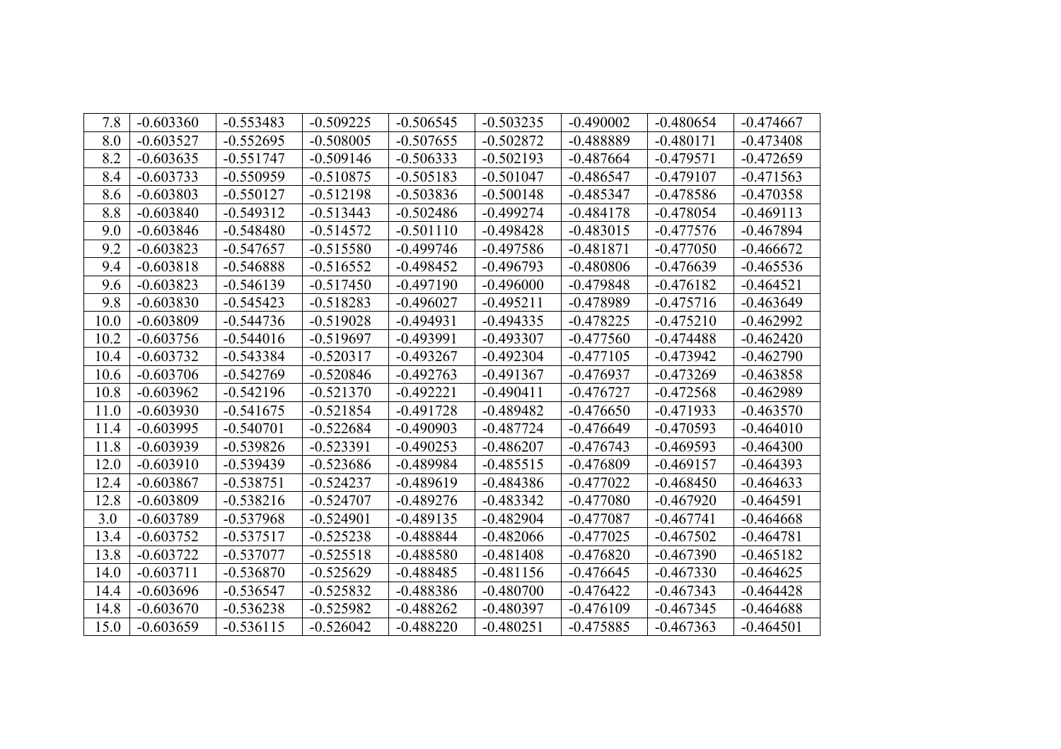| 7.8  | $-0.603360$ | $-0.553483$ | $-0.509225$ | $-0.506545$ | $-0.503235$ | $-0.490002$ | $-0.480654$ | $-0.474667$ |
|------|-------------|-------------|-------------|-------------|-------------|-------------|-------------|-------------|
| 8.0  | $-0.603527$ | $-0.552695$ | $-0.508005$ | $-0.507655$ | $-0.502872$ | $-0.488889$ | $-0.480171$ | $-0.473408$ |
| 8.2  | $-0.603635$ | $-0.551747$ | $-0.509146$ | $-0.506333$ | $-0.502193$ | $-0.487664$ | $-0.479571$ | $-0.472659$ |
| 8.4  | $-0.603733$ | $-0.550959$ | $-0.510875$ | $-0.505183$ | $-0.501047$ | $-0.486547$ | $-0.479107$ | $-0.471563$ |
| 8.6  | $-0.603803$ | $-0.550127$ | $-0.512198$ | $-0.503836$ | $-0.500148$ | $-0.485347$ | $-0.478586$ | $-0.470358$ |
| 8.8  | $-0.603840$ | $-0.549312$ | $-0.513443$ | $-0.502486$ | $-0.499274$ | $-0.484178$ | $-0.478054$ | $-0.469113$ |
| 9.0  | $-0.603846$ | $-0.548480$ | $-0.514572$ | $-0.501110$ | $-0.498428$ | $-0.483015$ | $-0.477576$ | $-0.467894$ |
| 9.2  | $-0.603823$ | $-0.547657$ | $-0.515580$ | $-0.499746$ | $-0.497586$ | $-0.481871$ | $-0.477050$ | $-0.466672$ |
| 9.4  | $-0.603818$ | $-0.546888$ | $-0.516552$ | $-0.498452$ | $-0.496793$ | $-0.480806$ | $-0.476639$ | $-0.465536$ |
| 9.6  | $-0.603823$ | $-0.546139$ | $-0.517450$ | $-0.497190$ | $-0.496000$ | $-0.479848$ | $-0.476182$ | $-0.464521$ |
| 9.8  | $-0.603830$ | $-0.545423$ | $-0.518283$ | $-0.496027$ | $-0.495211$ | $-0.478989$ | $-0.475716$ | $-0.463649$ |
| 10.0 | $-0.603809$ | $-0.544736$ | $-0.519028$ | $-0.494931$ | $-0.494335$ | $-0.478225$ | $-0.475210$ | $-0.462992$ |
| 10.2 | $-0.603756$ | $-0.544016$ | $-0.519697$ | $-0.493991$ | $-0.493307$ | $-0.477560$ | $-0.474488$ | $-0.462420$ |
| 10.4 | $-0.603732$ | $-0.543384$ | $-0.520317$ | $-0.493267$ | $-0.492304$ | $-0.477105$ | $-0.473942$ | $-0.462790$ |
| 10.6 | $-0.603706$ | $-0.542769$ | $-0.520846$ | $-0.492763$ | $-0.491367$ | $-0.476937$ | $-0.473269$ | $-0.463858$ |
| 10.8 | $-0.603962$ | $-0.542196$ | $-0.521370$ | $-0.492221$ | $-0.490411$ | $-0.476727$ | $-0.472568$ | $-0.462989$ |
| 11.0 | $-0.603930$ | $-0.541675$ | $-0.521854$ | $-0.491728$ | $-0.489482$ | $-0.476650$ | $-0.471933$ | $-0.463570$ |
| 11.4 | $-0.603995$ | $-0.540701$ | $-0.522684$ | $-0.490903$ | $-0.487724$ | $-0.476649$ | $-0.470593$ | $-0.464010$ |
| 11.8 | $-0.603939$ | $-0.539826$ | $-0.523391$ | $-0.490253$ | $-0.486207$ | $-0.476743$ | $-0.469593$ | $-0.464300$ |
| 12.0 | $-0.603910$ | $-0.539439$ | $-0.523686$ | $-0.489984$ | $-0.485515$ | $-0.476809$ | $-0.469157$ | $-0.464393$ |
| 12.4 | $-0.603867$ | $-0.538751$ | $-0.524237$ | $-0.489619$ | $-0.484386$ | $-0.477022$ | $-0.468450$ | $-0.464633$ |
| 12.8 | $-0.603809$ | $-0.538216$ | $-0.524707$ | $-0.489276$ | $-0.483342$ | $-0.477080$ | $-0.467920$ | $-0.464591$ |
| 3.0  | $-0.603789$ | $-0.537968$ | $-0.524901$ | $-0.489135$ | $-0.482904$ | $-0.477087$ | $-0.467741$ | $-0.464668$ |
| 13.4 | $-0.603752$ | $-0.537517$ | $-0.525238$ | $-0.488844$ | $-0.482066$ | $-0.477025$ | $-0.467502$ | $-0.464781$ |
| 13.8 | $-0.603722$ | $-0.537077$ | $-0.525518$ | $-0.488580$ | $-0.481408$ | $-0.476820$ | $-0.467390$ | $-0.465182$ |
| 14.0 | $-0.603711$ | $-0.536870$ | $-0.525629$ | $-0.488485$ | $-0.481156$ | $-0.476645$ | $-0.467330$ | $-0.464625$ |
| 14.4 | $-0.603696$ | $-0.536547$ | $-0.525832$ | $-0.488386$ | $-0.480700$ | $-0.476422$ | $-0.467343$ | $-0.464428$ |
| 14.8 | $-0.603670$ | $-0.536238$ | $-0.525982$ | $-0.488262$ | $-0.480397$ | $-0.476109$ | $-0.467345$ | $-0.464688$ |
| 15.0 | $-0.603659$ | $-0.536115$ | $-0.526042$ | $-0.488220$ | $-0.480251$ | $-0.475885$ | $-0.467363$ | $-0.464501$ |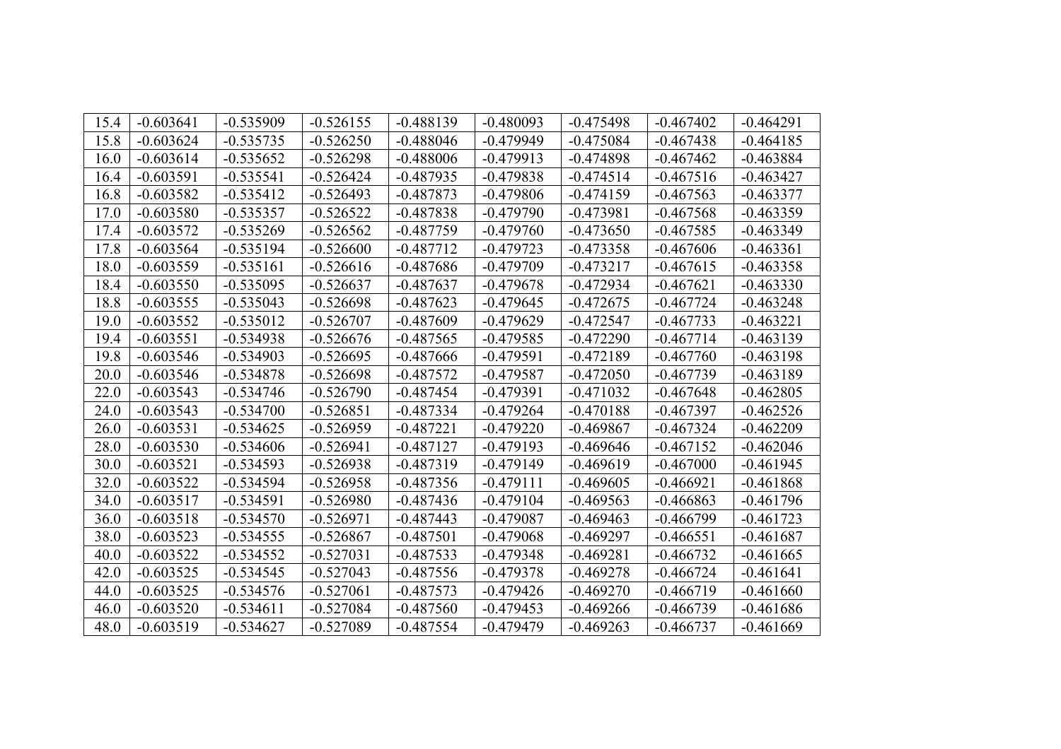| 15.4 | $-0.603641$ | $-0.535909$ | $-0.526155$ | $-0.488139$ | $-0.480093$ | $-0.475498$ | $-0.467402$ | $-0.464291$ |
|------|-------------|-------------|-------------|-------------|-------------|-------------|-------------|-------------|
| 15.8 | $-0.603624$ | $-0.535735$ | $-0.526250$ | $-0.488046$ | $-0.479949$ | $-0.475084$ | $-0.467438$ | $-0.464185$ |
| 16.0 | $-0.603614$ | $-0.535652$ | $-0.526298$ | $-0.488006$ | $-0.479913$ | $-0.474898$ | $-0.467462$ | $-0.463884$ |
| 16.4 | $-0.603591$ | $-0.535541$ | $-0.526424$ | $-0.487935$ | $-0.479838$ | $-0.474514$ | $-0.467516$ | $-0.463427$ |
| 16.8 | $-0.603582$ | $-0.535412$ | $-0.526493$ | $-0.487873$ | $-0.479806$ | $-0.474159$ | $-0.467563$ | $-0.463377$ |
| 17.0 | $-0.603580$ | $-0.535357$ | $-0.526522$ | $-0.487838$ | $-0.479790$ | $-0.473981$ | $-0.467568$ | $-0.463359$ |
| 17.4 | $-0.603572$ | $-0.535269$ | $-0.526562$ | $-0.487759$ | $-0.479760$ | $-0.473650$ | $-0.467585$ | $-0.463349$ |
| 17.8 | $-0.603564$ | $-0.535194$ | $-0.526600$ | $-0.487712$ | $-0.479723$ | $-0.473358$ | $-0.467606$ | $-0.463361$ |
| 18.0 | $-0.603559$ | $-0.535161$ | $-0.526616$ | $-0.487686$ | $-0.479709$ | $-0.473217$ | $-0.467615$ | $-0.463358$ |
| 18.4 | $-0.603550$ | $-0.535095$ | $-0.526637$ | $-0.487637$ | $-0.479678$ | $-0.472934$ | $-0.467621$ | $-0.463330$ |
| 18.8 | $-0.603555$ | $-0.535043$ | $-0.526698$ | $-0.487623$ | $-0.479645$ | $-0.472675$ | $-0.467724$ | $-0.463248$ |
| 19.0 | $-0.603552$ | $-0.535012$ | $-0.526707$ | $-0.487609$ | $-0.479629$ | $-0.472547$ | $-0.467733$ | $-0.463221$ |
| 19.4 | $-0.603551$ | $-0.534938$ | $-0.526676$ | $-0.487565$ | $-0.479585$ | $-0.472290$ | $-0.467714$ | $-0.463139$ |
| 19.8 | $-0.603546$ | $-0.534903$ | $-0.526695$ | $-0.487666$ | $-0.479591$ | $-0.472189$ | $-0.467760$ | $-0.463198$ |
| 20.0 | $-0.603546$ | $-0.534878$ | $-0.526698$ | $-0.487572$ | $-0.479587$ | $-0.472050$ | $-0.467739$ | $-0.463189$ |
| 22.0 | $-0.603543$ | $-0.534746$ | $-0.526790$ | $-0.487454$ | $-0.479391$ | $-0.471032$ | $-0.467648$ | $-0.462805$ |
| 24.0 | $-0.603543$ | $-0.534700$ | $-0.526851$ | $-0.487334$ | $-0.479264$ | $-0.470188$ | $-0.467397$ | $-0.462526$ |
| 26.0 | $-0.603531$ | $-0.534625$ | $-0.526959$ | $-0.487221$ | $-0.479220$ | $-0.469867$ | $-0.467324$ | $-0.462209$ |
| 28.0 | $-0.603530$ | $-0.534606$ | $-0.526941$ | $-0.487127$ | $-0.479193$ | $-0.469646$ | $-0.467152$ | $-0.462046$ |
| 30.0 | $-0.603521$ | $-0.534593$ | $-0.526938$ | $-0.487319$ | $-0.479149$ | $-0.469619$ | $-0.467000$ | $-0.461945$ |
| 32.0 | $-0.603522$ | $-0.534594$ | $-0.526958$ | $-0.487356$ | $-0.479111$ | $-0.469605$ | $-0.466921$ | $-0.461868$ |
| 34.0 | $-0.603517$ | $-0.534591$ | $-0.526980$ | $-0.487436$ | $-0.479104$ | $-0.469563$ | $-0.466863$ | $-0.461796$ |
| 36.0 | $-0.603518$ | $-0.534570$ | $-0.526971$ | $-0.487443$ | $-0.479087$ | $-0.469463$ | $-0.466799$ | $-0.461723$ |
| 38.0 | $-0.603523$ | $-0.534555$ | $-0.526867$ | $-0.487501$ | $-0.479068$ | $-0.469297$ | $-0.466551$ | $-0.461687$ |
| 40.0 | $-0.603522$ | $-0.534552$ | $-0.527031$ | $-0.487533$ | $-0.479348$ | $-0.469281$ | $-0.466732$ | $-0.461665$ |
| 42.0 | $-0.603525$ | $-0.534545$ | $-0.527043$ | $-0.487556$ | $-0.479378$ | $-0.469278$ | $-0.466724$ | $-0.461641$ |
| 44.0 | $-0.603525$ | $-0.534576$ | $-0.527061$ | $-0.487573$ | $-0.479426$ | $-0.469270$ | $-0.466719$ | $-0.461660$ |
| 46.0 | $-0.603520$ | $-0.534611$ | $-0.527084$ | $-0.487560$ | $-0.479453$ | $-0.469266$ | $-0.466739$ | $-0.461686$ |
| 48.0 | $-0.603519$ | $-0.534627$ | $-0.527089$ | $-0.487554$ | $-0.479479$ | $-0.469263$ | $-0.466737$ | $-0.461669$ |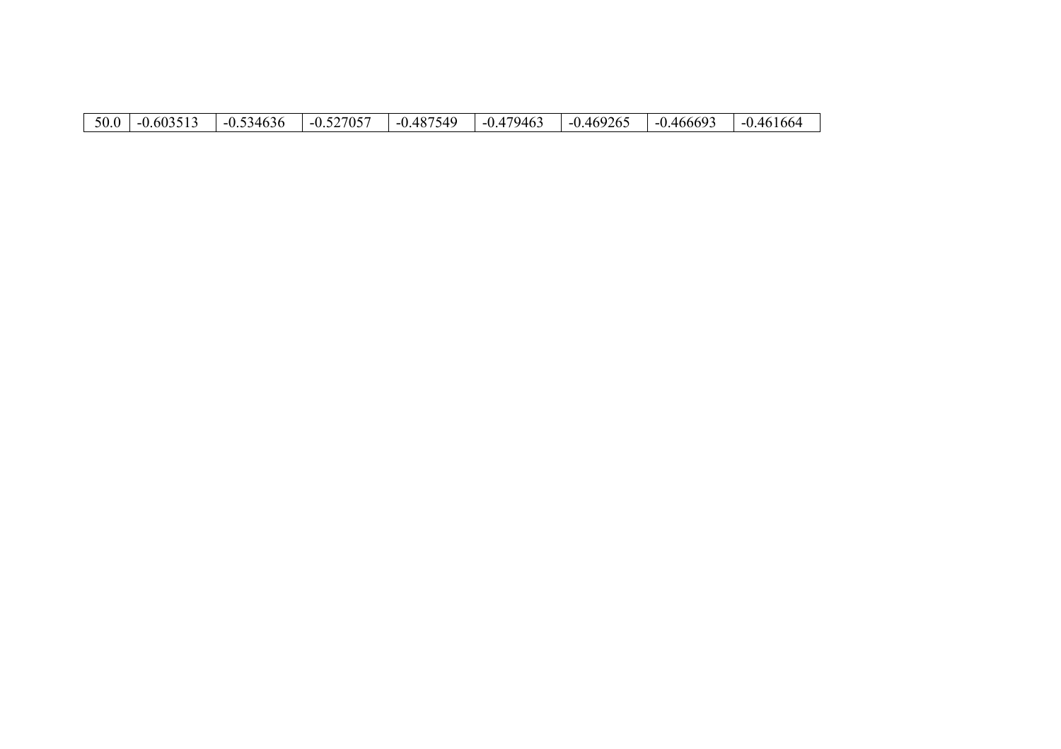| $-0.487$ <sup><math>\epsilon</math></sup><br>7946.<br>9265<br>$-0.60351$<br>50.0<br>705<br>466693<br>7549<br>$\Box$ $\Box$ $\Box$<br>0.469<br>34636<br>46 L<br>$-11$<br>- 1<br>$-1$<br>- 1<br>$\mathbf{v}$ .<br>$\mathsf{v} \cdot \mathsf{v}$<br>◡.◡◡<br>$\cdot$<br>ັ | $+0100^2$ |
|-----------------------------------------------------------------------------------------------------------------------------------------------------------------------------------------------------------------------------------------------------------------------|-----------|
|-----------------------------------------------------------------------------------------------------------------------------------------------------------------------------------------------------------------------------------------------------------------------|-----------|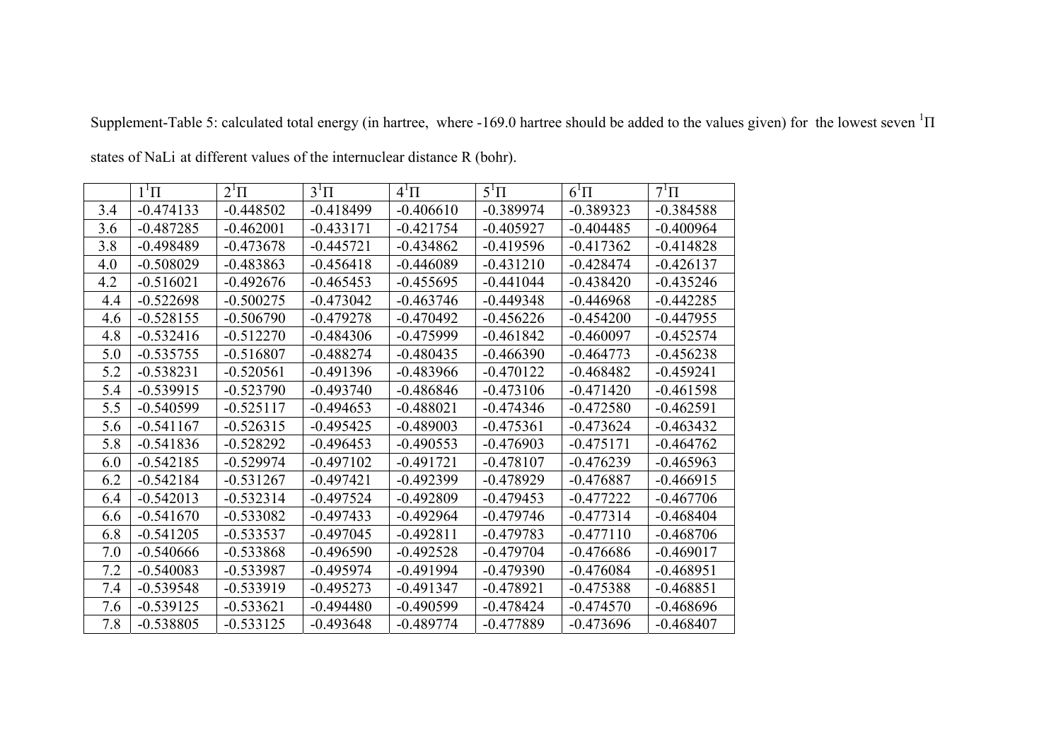|     | $1^1\Pi$    | $2^1\Pi$    | $3^1\Pi$    | $4^1\Pi$    | $5^1\Pi$    | $6^1\Pi$    | $7^1\Pi$    |
|-----|-------------|-------------|-------------|-------------|-------------|-------------|-------------|
| 3.4 | $-0.474133$ | $-0.448502$ | $-0.418499$ | $-0.406610$ | $-0.389974$ | $-0.389323$ | $-0.384588$ |
| 3.6 | $-0.487285$ | $-0.462001$ | $-0.433171$ | $-0.421754$ | $-0.405927$ | $-0.404485$ | $-0.400964$ |
| 3.8 | $-0.498489$ | $-0.473678$ | $-0.445721$ | $-0.434862$ | $-0.419596$ | $-0.417362$ | $-0.414828$ |
| 4.0 | $-0.508029$ | $-0.483863$ | $-0.456418$ | $-0.446089$ | $-0.431210$ | $-0.428474$ | $-0.426137$ |
| 4.2 | $-0.516021$ | $-0.492676$ | $-0.465453$ | $-0.455695$ | $-0.441044$ | $-0.438420$ | $-0.435246$ |
| 4.4 | $-0.522698$ | $-0.500275$ | $-0.473042$ | $-0.463746$ | $-0.449348$ | $-0.446968$ | $-0.442285$ |
| 4.6 | $-0.528155$ | $-0.506790$ | $-0.479278$ | $-0.470492$ | $-0.456226$ | $-0.454200$ | $-0.447955$ |
| 4.8 | $-0.532416$ | $-0.512270$ | $-0.484306$ | $-0.475999$ | $-0.461842$ | $-0.460097$ | $-0.452574$ |
| 5.0 | $-0.535755$ | $-0.516807$ | $-0.488274$ | $-0.480435$ | $-0.466390$ | $-0.464773$ | $-0.456238$ |
| 5.2 | $-0.538231$ | $-0.520561$ | $-0.491396$ | $-0.483966$ | $-0.470122$ | $-0.468482$ | $-0.459241$ |
| 5.4 | $-0.539915$ | $-0.523790$ | $-0.493740$ | $-0.486846$ | $-0.473106$ | $-0.471420$ | $-0.461598$ |
| 5.5 | $-0.540599$ | $-0.525117$ | $-0.494653$ | $-0.488021$ | $-0.474346$ | $-0.472580$ | $-0.462591$ |
| 5.6 | $-0.541167$ | $-0.526315$ | $-0.495425$ | $-0.489003$ | $-0.475361$ | $-0.473624$ | $-0.463432$ |
| 5.8 | $-0.541836$ | $-0.528292$ | $-0.496453$ | $-0.490553$ | $-0.476903$ | $-0.475171$ | $-0.464762$ |
| 6.0 | $-0.542185$ | $-0.529974$ | $-0.497102$ | $-0.491721$ | $-0.478107$ | $-0.476239$ | $-0.465963$ |
| 6.2 | $-0.542184$ | $-0.531267$ | $-0.497421$ | $-0.492399$ | $-0.478929$ | $-0.476887$ | $-0.466915$ |
| 6.4 | $-0.542013$ | $-0.532314$ | $-0.497524$ | $-0.492809$ | $-0.479453$ | $-0.477222$ | $-0.467706$ |
| 6.6 | $-0.541670$ | $-0.533082$ | $-0.497433$ | $-0.492964$ | $-0.479746$ | $-0.477314$ | $-0.468404$ |
| 6.8 | $-0.541205$ | $-0.533537$ | $-0.497045$ | $-0.492811$ | $-0.479783$ | $-0.477110$ | $-0.468706$ |
| 7.0 | $-0.540666$ | $-0.533868$ | $-0.496590$ | $-0.492528$ | $-0.479704$ | $-0.476686$ | $-0.469017$ |
| 7.2 | $-0.540083$ | $-0.533987$ | $-0.495974$ | $-0.491994$ | $-0.479390$ | $-0.476084$ | $-0.468951$ |
| 7.4 | $-0.539548$ | $-0.533919$ | $-0.495273$ | $-0.491347$ | $-0.478921$ | $-0.475388$ | $-0.468851$ |
| 7.6 | $-0.539125$ | $-0.533621$ | $-0.494480$ | $-0.490599$ | $-0.478424$ | $-0.474570$ | $-0.468696$ |
| 7.8 | $-0.538805$ | $-0.533125$ | $-0.493648$ | $-0.489774$ | $-0.477889$ | $-0.473696$ | $-0.468407$ |

Supplement-Table 5: calculated total energy (in hartree, where -169.0 hartree should be added to the values given) for the lowest seven  ${}^{1}\Pi$ 

states of NaLi at different values of the internuclear distance R (bohr) .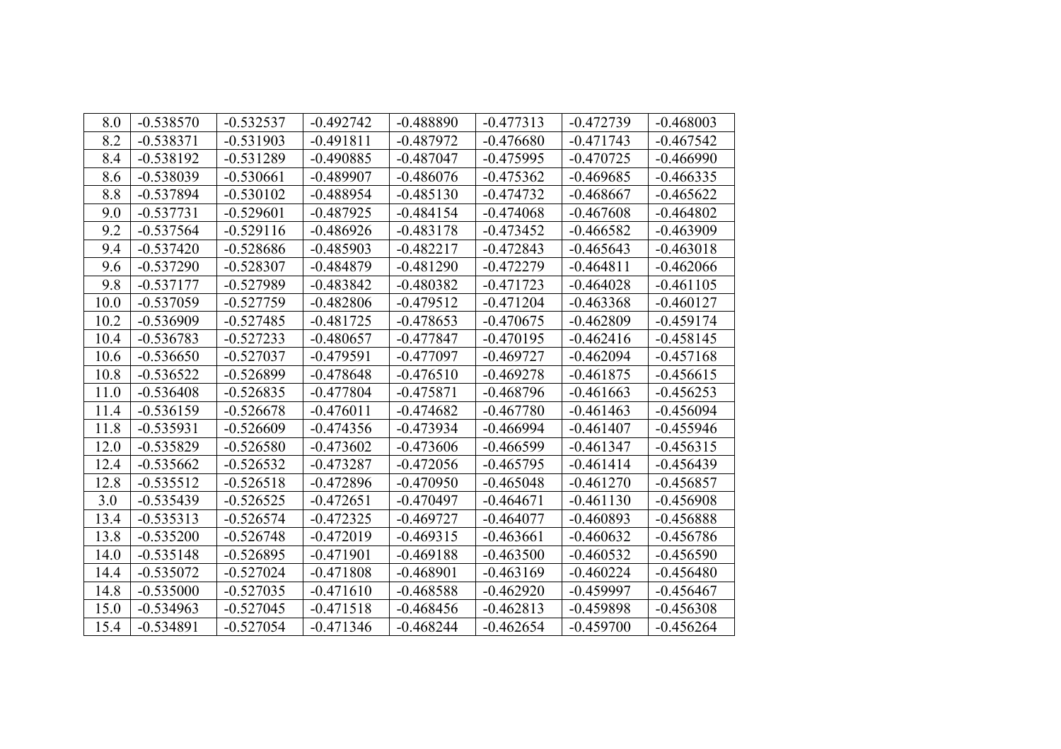| 8.0  | $-0.538570$ | $-0.532537$ | $-0.492742$ | $-0.488890$ | $-0.477313$ | $-0.472739$ | $-0.468003$ |
|------|-------------|-------------|-------------|-------------|-------------|-------------|-------------|
| 8.2  | $-0.538371$ | $-0.531903$ | $-0.491811$ | $-0.487972$ | $-0.476680$ | $-0.471743$ | $-0.467542$ |
| 8.4  | $-0.538192$ | $-0.531289$ | $-0.490885$ | $-0.487047$ | $-0.475995$ | $-0.470725$ | $-0.466990$ |
| 8.6  | $-0.538039$ | $-0.530661$ | $-0.489907$ | $-0.486076$ | $-0.475362$ | $-0.469685$ | $-0.466335$ |
| 8.8  | $-0.537894$ | $-0.530102$ | $-0.488954$ | $-0.485130$ | $-0.474732$ | $-0.468667$ | $-0.465622$ |
| 9.0  | $-0.537731$ | $-0.529601$ | $-0.487925$ | $-0.484154$ | $-0.474068$ | $-0.467608$ | $-0.464802$ |
| 9.2  | $-0.537564$ | $-0.529116$ | $-0.486926$ | $-0.483178$ | $-0.473452$ | $-0.466582$ | $-0.463909$ |
| 9.4  | $-0.537420$ | $-0.528686$ | $-0.485903$ | $-0.482217$ | $-0.472843$ | $-0.465643$ | $-0.463018$ |
| 9.6  | $-0.537290$ | $-0.528307$ | $-0.484879$ | $-0.481290$ | $-0.472279$ | $-0.464811$ | $-0.462066$ |
| 9.8  | $-0.537177$ | $-0.527989$ | $-0.483842$ | $-0.480382$ | $-0.471723$ | $-0.464028$ | $-0.461105$ |
| 10.0 | $-0.537059$ | $-0.527759$ | $-0.482806$ | $-0.479512$ | $-0.471204$ | $-0.463368$ | $-0.460127$ |
| 10.2 | $-0.536909$ | $-0.527485$ | $-0.481725$ | $-0.478653$ | $-0.470675$ | $-0.462809$ | $-0.459174$ |
| 10.4 | $-0.536783$ | $-0.527233$ | $-0.480657$ | $-0.477847$ | $-0.470195$ | $-0.462416$ | $-0.458145$ |
| 10.6 | $-0.536650$ | $-0.527037$ | $-0.479591$ | $-0.477097$ | $-0.469727$ | $-0.462094$ | $-0.457168$ |
| 10.8 | $-0.536522$ | $-0.526899$ | $-0.478648$ | $-0.476510$ | $-0.469278$ | $-0.461875$ | $-0.456615$ |
| 11.0 | $-0.536408$ | $-0.526835$ | $-0.477804$ | $-0.475871$ | $-0.468796$ | $-0.461663$ | $-0.456253$ |
| 11.4 | $-0.536159$ | $-0.526678$ | $-0.476011$ | $-0.474682$ | $-0.467780$ | $-0.461463$ | $-0.456094$ |
| 11.8 | $-0.535931$ | $-0.526609$ | $-0.474356$ | $-0.473934$ | $-0.466994$ | $-0.461407$ | $-0.455946$ |
| 12.0 | $-0.535829$ | $-0.526580$ | $-0.473602$ | $-0.473606$ | $-0.466599$ | $-0.461347$ | $-0.456315$ |
| 12.4 | $-0.535662$ | $-0.526532$ | $-0.473287$ | $-0.472056$ | $-0.465795$ | $-0.461414$ | $-0.456439$ |
| 12.8 | $-0.535512$ | $-0.526518$ | $-0.472896$ | $-0.470950$ | $-0.465048$ | $-0.461270$ | $-0.456857$ |
| 3.0  | $-0.535439$ | $-0.526525$ | $-0.472651$ | $-0.470497$ | $-0.464671$ | $-0.461130$ | $-0.456908$ |
| 13.4 | $-0.535313$ | $-0.526574$ | $-0.472325$ | $-0.469727$ | $-0.464077$ | $-0.460893$ | $-0.456888$ |
| 13.8 | $-0.535200$ | $-0.526748$ | $-0.472019$ | $-0.469315$ | $-0.463661$ | $-0.460632$ | $-0.456786$ |
| 14.0 | $-0.535148$ | $-0.526895$ | $-0.471901$ | $-0.469188$ | $-0.463500$ | $-0.460532$ | $-0.456590$ |
| 14.4 | $-0.535072$ | $-0.527024$ | $-0.471808$ | $-0.468901$ | $-0.463169$ | $-0.460224$ | $-0.456480$ |
| 14.8 | $-0.535000$ | $-0.527035$ | $-0.471610$ | $-0.468588$ | $-0.462920$ | $-0.459997$ | $-0.456467$ |
| 15.0 | $-0.534963$ | $-0.527045$ | $-0.471518$ | $-0.468456$ | $-0.462813$ | $-0.459898$ | $-0.456308$ |
| 15.4 | $-0.534891$ | $-0.527054$ | $-0.471346$ | $-0.468244$ | $-0.462654$ | $-0.459700$ | $-0.456264$ |
|      |             |             |             |             |             |             |             |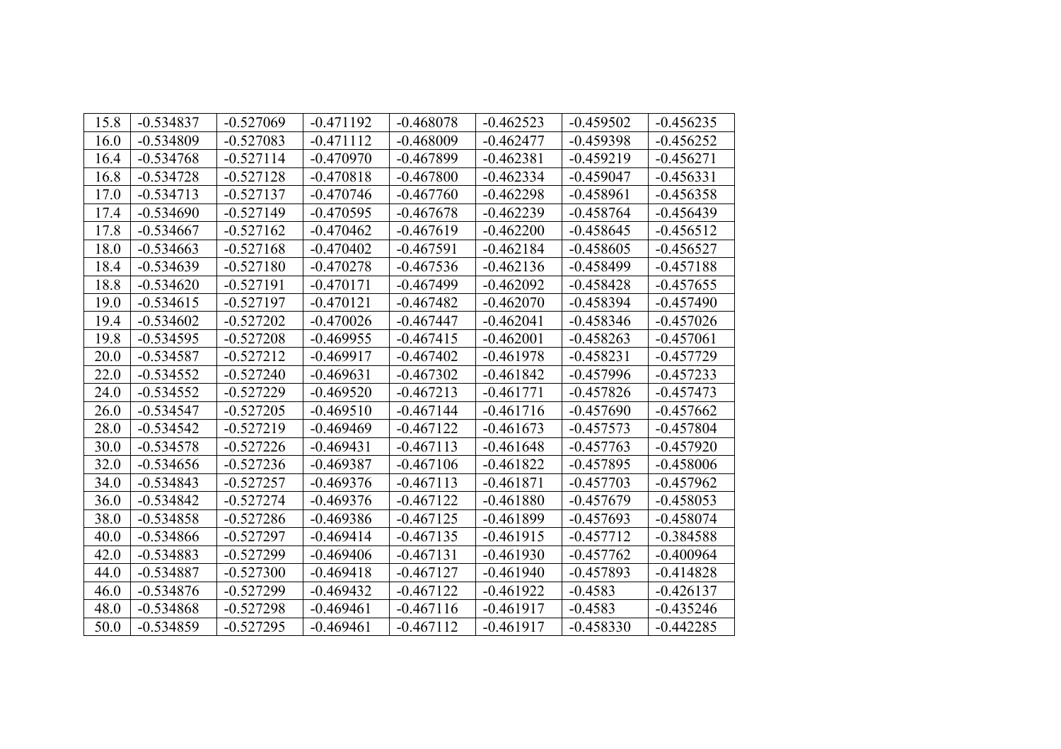| 15.8 | $-0.534837$ | $-0.527069$ | $-0.471192$ | $-0.468078$ | $-0.462523$ | $-0.459502$ | $-0.456235$ |
|------|-------------|-------------|-------------|-------------|-------------|-------------|-------------|
| 16.0 | $-0.534809$ | $-0.527083$ | $-0.471112$ | $-0.468009$ | $-0.462477$ | $-0.459398$ | $-0.456252$ |
| 16.4 | $-0.534768$ | $-0.527114$ | $-0.470970$ | $-0.467899$ | $-0.462381$ | $-0.459219$ | $-0.456271$ |
| 16.8 | $-0.534728$ | $-0.527128$ | $-0.470818$ | $-0.467800$ | $-0.462334$ | $-0.459047$ | $-0.456331$ |
| 17.0 | $-0.534713$ | $-0.527137$ | $-0.470746$ | $-0.467760$ | $-0.462298$ | $-0.458961$ | $-0.456358$ |
| 17.4 | $-0.534690$ | $-0.527149$ | $-0.470595$ | $-0.467678$ | $-0.462239$ | $-0.458764$ | $-0.456439$ |
| 17.8 | $-0.534667$ | $-0.527162$ | $-0.470462$ | $-0.467619$ | $-0.462200$ | $-0.458645$ | $-0.456512$ |
| 18.0 | $-0.534663$ | $-0.527168$ | $-0.470402$ | $-0.467591$ | $-0.462184$ | $-0.458605$ | $-0.456527$ |
| 18.4 | $-0.534639$ | $-0.527180$ | $-0.470278$ | $-0.467536$ | $-0.462136$ | $-0.458499$ | $-0.457188$ |
| 18.8 | $-0.534620$ | $-0.527191$ | $-0.470171$ | $-0.467499$ | $-0.462092$ | $-0.458428$ | $-0.457655$ |
| 19.0 | $-0.534615$ | $-0.527197$ | $-0.470121$ | $-0.467482$ | $-0.462070$ | $-0.458394$ | $-0.457490$ |
| 19.4 | $-0.534602$ | $-0.527202$ | $-0.470026$ | $-0.467447$ | $-0.462041$ | $-0.458346$ | $-0.457026$ |
| 19.8 | $-0.534595$ | $-0.527208$ | $-0.469955$ | $-0.467415$ | $-0.462001$ | $-0.458263$ | $-0.457061$ |
| 20.0 | $-0.534587$ | $-0.527212$ | $-0.469917$ | $-0.467402$ | $-0.461978$ | $-0.458231$ | $-0.457729$ |
| 22.0 | $-0.534552$ | $-0.527240$ | $-0.469631$ | $-0.467302$ | $-0.461842$ | $-0.457996$ | $-0.457233$ |
| 24.0 | $-0.534552$ | $-0.527229$ | $-0.469520$ | $-0.467213$ | $-0.461771$ | $-0.457826$ | $-0.457473$ |
| 26.0 | $-0.534547$ | $-0.527205$ | $-0.469510$ | $-0.467144$ | $-0.461716$ | $-0.457690$ | $-0.457662$ |
| 28.0 | $-0.534542$ | $-0.527219$ | $-0.469469$ | $-0.467122$ | $-0.461673$ | $-0.457573$ | $-0.457804$ |
| 30.0 | $-0.534578$ | $-0.527226$ | $-0.469431$ | $-0.467113$ | $-0.461648$ | $-0.457763$ | $-0.457920$ |
| 32.0 | $-0.534656$ | $-0.527236$ | $-0.469387$ | $-0.467106$ | $-0.461822$ | $-0.457895$ | $-0.458006$ |
| 34.0 | $-0.534843$ | $-0.527257$ | $-0.469376$ | $-0.467113$ | $-0.461871$ | $-0.457703$ | $-0.457962$ |
| 36.0 | $-0.534842$ | $-0.527274$ | $-0.469376$ | $-0.467122$ | $-0.461880$ | $-0.457679$ | $-0.458053$ |
| 38.0 | $-0.534858$ | $-0.527286$ | $-0.469386$ | $-0.467125$ | $-0.461899$ | $-0.457693$ | $-0.458074$ |
| 40.0 | $-0.534866$ | $-0.527297$ | $-0.469414$ | $-0.467135$ | $-0.461915$ | $-0.457712$ | $-0.384588$ |
| 42.0 | $-0.534883$ | $-0.527299$ | $-0.469406$ | $-0.467131$ | $-0.461930$ | $-0.457762$ | $-0.400964$ |
| 44.0 | $-0.534887$ | $-0.527300$ | $-0.469418$ | $-0.467127$ | $-0.461940$ | $-0.457893$ | $-0.414828$ |
| 46.0 | $-0.534876$ | $-0.527299$ | $-0.469432$ | $-0.467122$ | $-0.461922$ | $-0.4583$   | $-0.426137$ |
| 48.0 | $-0.534868$ | $-0.527298$ | $-0.469461$ | $-0.467116$ | $-0.461917$ | $-0.4583$   | $-0.435246$ |
| 50.0 | $-0.534859$ | $-0.527295$ | $-0.469461$ | $-0.467112$ | $-0.461917$ | $-0.458330$ | $-0.442285$ |
|      |             |             |             |             |             |             |             |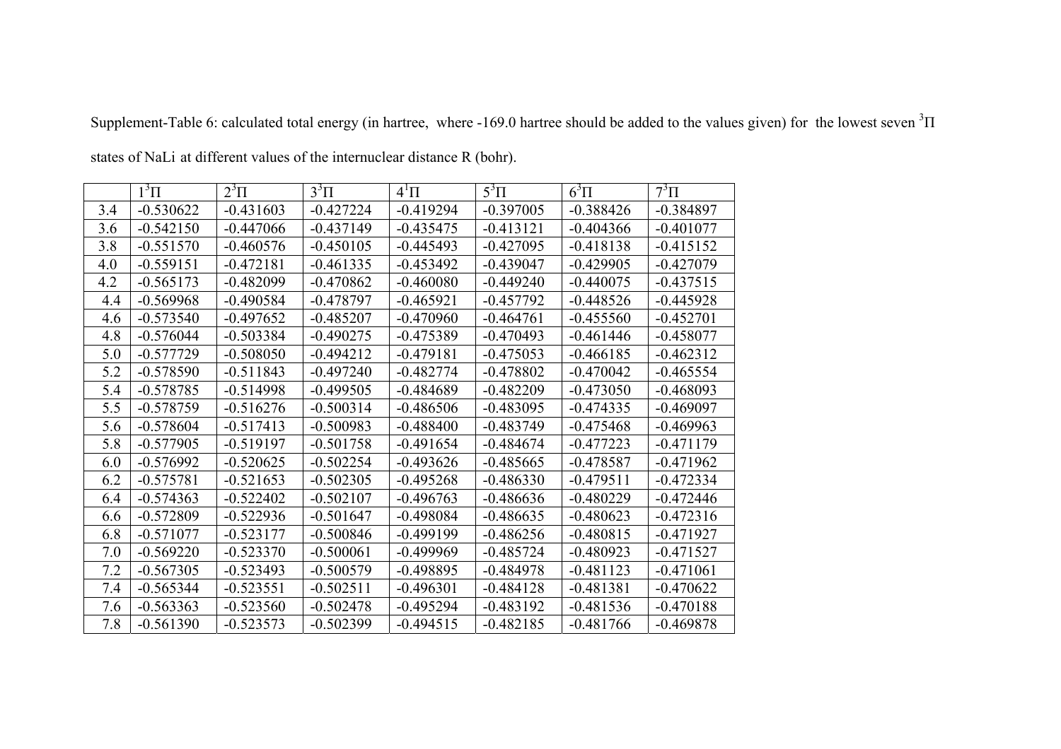| $13\Pi$<br>$5^3\Pi$<br>$6^3\Pi$<br>$2^3\Pi$<br>$3^3\Pi$<br>$7^3\Pi$<br>$4^1\Pi$<br>3.4<br>$-0.530622$<br>$-0.431603$<br>$-0.427224$<br>$-0.419294$<br>$-0.397005$<br>$-0.388426$<br>$-0.384897$<br>3.6<br>$-0.542150$<br>$-0.447066$<br>$-0.437149$<br>$-0.435475$<br>$-0.413121$<br>$-0.404366$<br>$-0.401077$<br>3.8<br>$-0.450105$<br>$-0.445493$<br>$-0.427095$<br>$-0.418138$<br>$-0.415152$<br>$-0.551570$<br>$-0.460576$<br>4.0<br>$-0.559151$<br>$-0.472181$<br>$-0.461335$<br>$-0.453492$<br>$-0.439047$<br>$-0.429905$<br>$-0.427079$<br>4.2<br>$-0.565173$<br>$-0.482099$<br>$-0.470862$<br>$-0.460080$<br>$-0.449240$<br>$-0.440075$<br>$-0.437515$<br>$-0.569968$<br>$-0.478797$<br>$-0.465921$<br>$-0.457792$<br>$-0.448526$<br>$-0.445928$<br>4.4<br>$-0.490584$<br>$-0.455560$<br>4.6<br>$-0.573540$<br>$-0.497652$<br>$-0.485207$<br>$-0.470960$<br>$-0.464761$<br>$-0.452701$<br>4.8<br>$-0.576044$<br>$-0.503384$<br>$-0.490275$<br>$-0.475389$<br>$-0.470493$<br>$-0.461446$<br>$-0.458077$ |
|-----------------------------------------------------------------------------------------------------------------------------------------------------------------------------------------------------------------------------------------------------------------------------------------------------------------------------------------------------------------------------------------------------------------------------------------------------------------------------------------------------------------------------------------------------------------------------------------------------------------------------------------------------------------------------------------------------------------------------------------------------------------------------------------------------------------------------------------------------------------------------------------------------------------------------------------------------------------------------------------------------------------|
|                                                                                                                                                                                                                                                                                                                                                                                                                                                                                                                                                                                                                                                                                                                                                                                                                                                                                                                                                                                                                 |
|                                                                                                                                                                                                                                                                                                                                                                                                                                                                                                                                                                                                                                                                                                                                                                                                                                                                                                                                                                                                                 |
|                                                                                                                                                                                                                                                                                                                                                                                                                                                                                                                                                                                                                                                                                                                                                                                                                                                                                                                                                                                                                 |
|                                                                                                                                                                                                                                                                                                                                                                                                                                                                                                                                                                                                                                                                                                                                                                                                                                                                                                                                                                                                                 |
|                                                                                                                                                                                                                                                                                                                                                                                                                                                                                                                                                                                                                                                                                                                                                                                                                                                                                                                                                                                                                 |
|                                                                                                                                                                                                                                                                                                                                                                                                                                                                                                                                                                                                                                                                                                                                                                                                                                                                                                                                                                                                                 |
|                                                                                                                                                                                                                                                                                                                                                                                                                                                                                                                                                                                                                                                                                                                                                                                                                                                                                                                                                                                                                 |
|                                                                                                                                                                                                                                                                                                                                                                                                                                                                                                                                                                                                                                                                                                                                                                                                                                                                                                                                                                                                                 |
|                                                                                                                                                                                                                                                                                                                                                                                                                                                                                                                                                                                                                                                                                                                                                                                                                                                                                                                                                                                                                 |
| 5.0<br>$-0.508050$<br>$-0.479181$<br>$-0.462312$<br>$-0.577729$<br>$-0.494212$<br>$-0.475053$<br>$-0.466185$                                                                                                                                                                                                                                                                                                                                                                                                                                                                                                                                                                                                                                                                                                                                                                                                                                                                                                    |
| 5.2<br>$-0.578590$<br>$-0.511843$<br>$-0.497240$<br>$-0.478802$<br>$-0.470042$<br>$-0.482774$<br>$-0.465554$                                                                                                                                                                                                                                                                                                                                                                                                                                                                                                                                                                                                                                                                                                                                                                                                                                                                                                    |
| 5.4<br>$-0.578785$<br>$-0.514998$<br>$-0.499505$<br>$-0.473050$<br>$-0.468093$<br>$-0.484689$<br>$-0.482209$                                                                                                                                                                                                                                                                                                                                                                                                                                                                                                                                                                                                                                                                                                                                                                                                                                                                                                    |
| 5.5<br>$-0.578759$<br>$-0.516276$<br>$-0.500314$<br>$-0.486506$<br>$-0.483095$<br>$-0.474335$<br>$-0.469097$                                                                                                                                                                                                                                                                                                                                                                                                                                                                                                                                                                                                                                                                                                                                                                                                                                                                                                    |
| $-0.578604$<br>$-0.500983$<br>$-0.488400$<br>5.6<br>$-0.517413$<br>$-0.483749$<br>$-0.475468$<br>$-0.469963$                                                                                                                                                                                                                                                                                                                                                                                                                                                                                                                                                                                                                                                                                                                                                                                                                                                                                                    |
| $-0.519197$<br>5.8<br>$-0.577905$<br>$-0.501758$<br>$-0.491654$<br>$-0.484674$<br>$-0.477223$<br>$-0.471179$                                                                                                                                                                                                                                                                                                                                                                                                                                                                                                                                                                                                                                                                                                                                                                                                                                                                                                    |
| $-0.520625$<br>$-0.502254$<br>$-0.493626$<br>$-0.485665$<br>$-0.471962$<br>6.0<br>$-0.576992$<br>$-0.478587$                                                                                                                                                                                                                                                                                                                                                                                                                                                                                                                                                                                                                                                                                                                                                                                                                                                                                                    |
| 6.2<br>$-0.575781$<br>$-0.521653$<br>$-0.502305$<br>$-0.495268$<br>$-0.486330$<br>$-0.479511$<br>$-0.472334$                                                                                                                                                                                                                                                                                                                                                                                                                                                                                                                                                                                                                                                                                                                                                                                                                                                                                                    |
| $-0.574363$<br>$-0.522402$<br>$-0.502107$<br>$-0.496763$<br>$-0.486636$<br>$-0.480229$<br>$-0.472446$<br>6.4                                                                                                                                                                                                                                                                                                                                                                                                                                                                                                                                                                                                                                                                                                                                                                                                                                                                                                    |
| $-0.572809$<br>$-0.498084$<br>$-0.480623$<br>6.6<br>$-0.522936$<br>$-0.501647$<br>$-0.486635$<br>$-0.472316$                                                                                                                                                                                                                                                                                                                                                                                                                                                                                                                                                                                                                                                                                                                                                                                                                                                                                                    |
| 6.8<br>$-0.571077$<br>$-0.500846$<br>$-0.499199$<br>$-0.486256$<br>$-0.480815$<br>$-0.471927$<br>$-0.523177$                                                                                                                                                                                                                                                                                                                                                                                                                                                                                                                                                                                                                                                                                                                                                                                                                                                                                                    |
| 7.0<br>$-0.569220$<br>$-0.523370$<br>$-0.500061$<br>$-0.499969$<br>$-0.485724$<br>$-0.480923$<br>$-0.471527$                                                                                                                                                                                                                                                                                                                                                                                                                                                                                                                                                                                                                                                                                                                                                                                                                                                                                                    |
| 7.2<br>$-0.567305$<br>$-0.523493$<br>$-0.500579$<br>$-0.484978$<br>$-0.481123$<br>$-0.471061$<br>$-0.498895$                                                                                                                                                                                                                                                                                                                                                                                                                                                                                                                                                                                                                                                                                                                                                                                                                                                                                                    |
| 7.4<br>$-0.481381$<br>$-0.565344$<br>$-0.523551$<br>$-0.502511$<br>$-0.496301$<br>$-0.484128$<br>$-0.470622$                                                                                                                                                                                                                                                                                                                                                                                                                                                                                                                                                                                                                                                                                                                                                                                                                                                                                                    |
| $-0.563363$<br>$-0.523560$<br>$-0.502478$<br>7.6<br>$-0.495294$<br>$-0.483192$<br>$-0.481536$<br>$-0.470188$                                                                                                                                                                                                                                                                                                                                                                                                                                                                                                                                                                                                                                                                                                                                                                                                                                                                                                    |
| 7.8<br>$-0.561390$<br>$-0.502399$<br>$-0.494515$<br>$-0.482185$<br>$-0.481766$<br>$-0.523573$<br>$-0.469878$                                                                                                                                                                                                                                                                                                                                                                                                                                                                                                                                                                                                                                                                                                                                                                                                                                                                                                    |

Supplement-Table 6: calculated total energy (in hartree, where -169.0 hartree should be added to the values given) for the lowest seven  ${}^{3}$  II

states of NaLi at different values of the internuclear distance R (bohr) .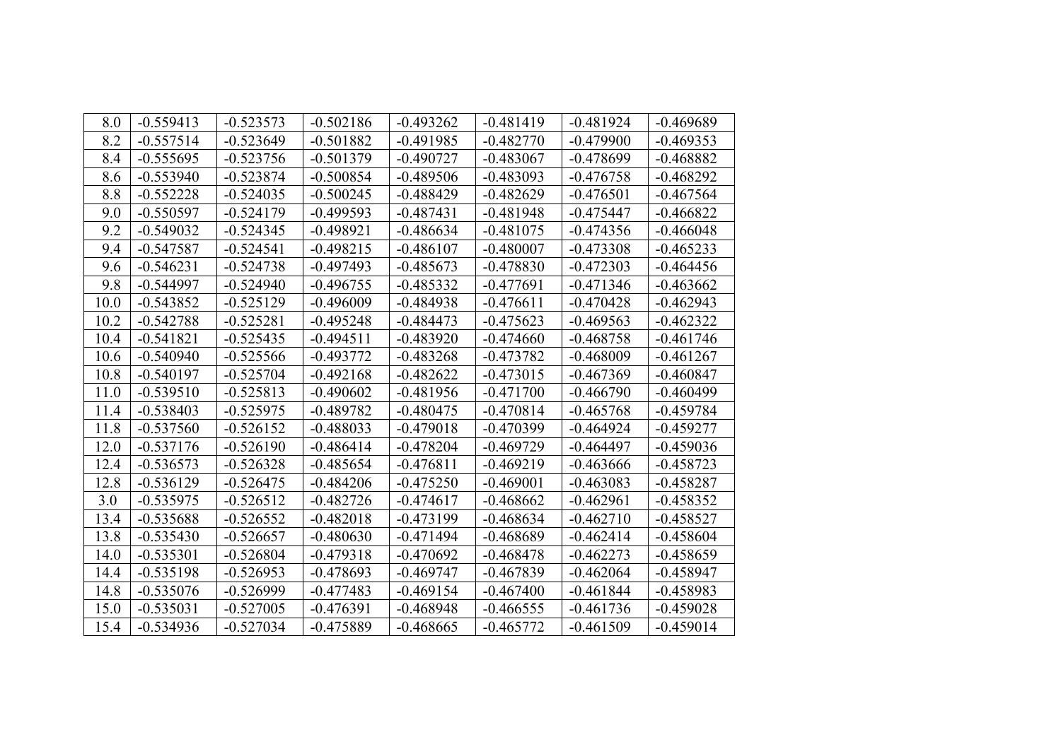| 8.0  | $-0.559413$ | $-0.523573$ | $-0.502186$ | $-0.493262$ | $-0.481419$ | $-0.481924$ | $-0.469689$ |
|------|-------------|-------------|-------------|-------------|-------------|-------------|-------------|
| 8.2  | $-0.557514$ | $-0.523649$ | $-0.501882$ | $-0.491985$ | $-0.482770$ | $-0.479900$ | $-0.469353$ |
| 8.4  | $-0.555695$ | $-0.523756$ | $-0.501379$ | $-0.490727$ | $-0.483067$ | $-0.478699$ | $-0.468882$ |
| 8.6  | $-0.553940$ | $-0.523874$ | $-0.500854$ | $-0.489506$ | $-0.483093$ | $-0.476758$ | $-0.468292$ |
| 8.8  | $-0.552228$ | $-0.524035$ | $-0.500245$ | $-0.488429$ | $-0.482629$ | $-0.476501$ | $-0.467564$ |
| 9.0  | $-0.550597$ | $-0.524179$ | $-0.499593$ | $-0.487431$ | $-0.481948$ | $-0.475447$ | $-0.466822$ |
| 9.2  | $-0.549032$ | $-0.524345$ | $-0.498921$ | $-0.486634$ | $-0.481075$ | $-0.474356$ | $-0.466048$ |
| 9.4  | $-0.547587$ | $-0.524541$ | $-0.498215$ | $-0.486107$ | $-0.480007$ | $-0.473308$ | $-0.465233$ |
| 9.6  | $-0.546231$ | $-0.524738$ | $-0.497493$ | $-0.485673$ | $-0.478830$ | $-0.472303$ | $-0.464456$ |
| 9.8  | $-0.544997$ | $-0.524940$ | $-0.496755$ | $-0.485332$ | $-0.477691$ | $-0.471346$ | $-0.463662$ |
| 10.0 | $-0.543852$ | $-0.525129$ | $-0.496009$ | $-0.484938$ | $-0.476611$ | $-0.470428$ | $-0.462943$ |
| 10.2 | $-0.542788$ | $-0.525281$ | $-0.495248$ | $-0.484473$ | $-0.475623$ | $-0.469563$ | $-0.462322$ |
| 10.4 | $-0.541821$ | $-0.525435$ | $-0.494511$ | $-0.483920$ | $-0.474660$ | $-0.468758$ | $-0.461746$ |
| 10.6 | $-0.540940$ | $-0.525566$ | $-0.493772$ | $-0.483268$ | $-0.473782$ | $-0.468009$ | $-0.461267$ |
| 10.8 | $-0.540197$ | $-0.525704$ | $-0.492168$ | $-0.482622$ | $-0.473015$ | $-0.467369$ | $-0.460847$ |
| 11.0 | $-0.539510$ | $-0.525813$ | $-0.490602$ | $-0.481956$ | $-0.471700$ | $-0.466790$ | $-0.460499$ |
| 11.4 | $-0.538403$ | $-0.525975$ | $-0.489782$ | $-0.480475$ | $-0.470814$ | $-0.465768$ | $-0.459784$ |
| 11.8 | $-0.537560$ | $-0.526152$ | $-0.488033$ | $-0.479018$ | $-0.470399$ | $-0.464924$ | $-0.459277$ |
| 12.0 | $-0.537176$ | $-0.526190$ | $-0.486414$ | $-0.478204$ | $-0.469729$ | $-0.464497$ | $-0.459036$ |
| 12.4 | $-0.536573$ | $-0.526328$ | $-0.485654$ | $-0.476811$ | $-0.469219$ | $-0.463666$ | $-0.458723$ |
| 12.8 | $-0.536129$ | $-0.526475$ | $-0.484206$ | $-0.475250$ | $-0.469001$ | $-0.463083$ | $-0.458287$ |
| 3.0  | $-0.535975$ | $-0.526512$ | $-0.482726$ | $-0.474617$ | $-0.468662$ | $-0.462961$ | $-0.458352$ |
| 13.4 | $-0.535688$ | $-0.526552$ | $-0.482018$ | $-0.473199$ | $-0.468634$ | $-0.462710$ | $-0.458527$ |
| 13.8 | $-0.535430$ | $-0.526657$ | $-0.480630$ | $-0.471494$ | $-0.468689$ | $-0.462414$ | $-0.458604$ |
| 14.0 | $-0.535301$ | $-0.526804$ | $-0.479318$ | $-0.470692$ | $-0.468478$ | $-0.462273$ | $-0.458659$ |
| 14.4 | $-0.535198$ | $-0.526953$ | $-0.478693$ | $-0.469747$ | $-0.467839$ | $-0.462064$ | $-0.458947$ |
| 14.8 | $-0.535076$ | $-0.526999$ | $-0.477483$ | $-0.469154$ | $-0.467400$ | $-0.461844$ | $-0.458983$ |
| 15.0 | $-0.535031$ | $-0.527005$ | $-0.476391$ | $-0.468948$ | $-0.466555$ | $-0.461736$ | $-0.459028$ |
| 15.4 | $-0.534936$ | $-0.527034$ | $-0.475889$ | $-0.468665$ | $-0.465772$ | $-0.461509$ | $-0.459014$ |
|      |             |             |             |             |             |             |             |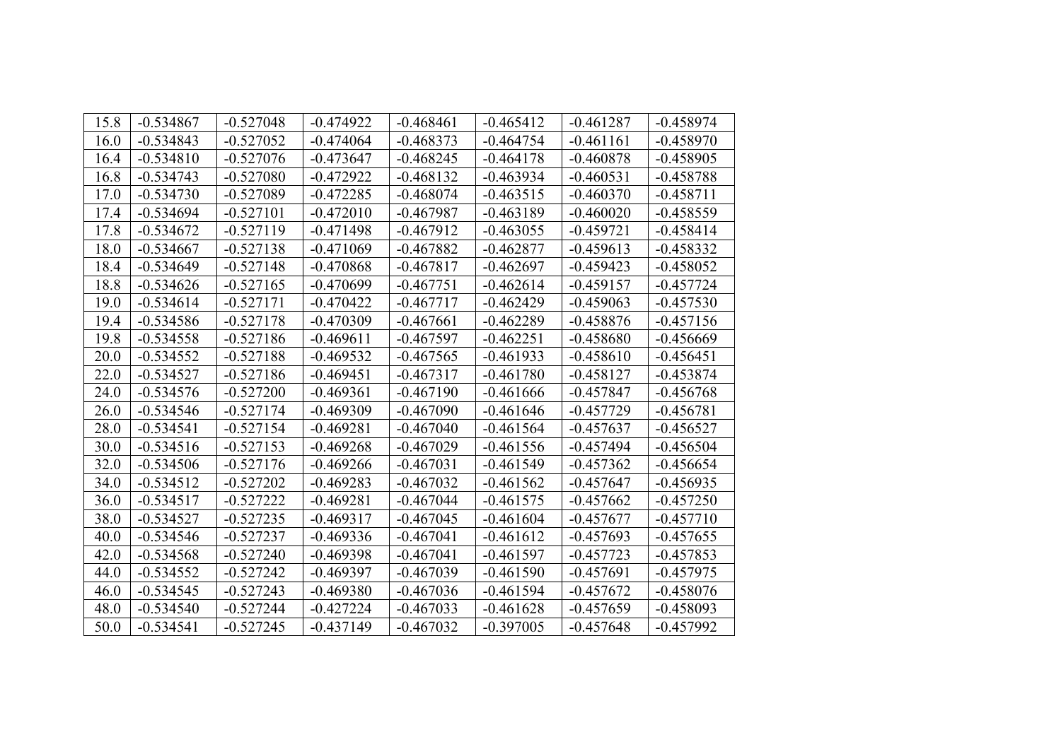| 15.8<br>$-0.534867$<br>$-0.527048$<br>$-0.474922$<br>$-0.468461$<br>$-0.465412$<br>$-0.461287$<br>$-0.458974$<br>$-0.534843$<br>$-0.527052$<br>$-0.468373$<br>$-0.474064$<br>$-0.464754$<br>$-0.461161$<br>$-0.458970$<br>16.0<br>$-0.527076$<br>$-0.468245$<br>$-0.464178$<br>$-0.460878$<br>$-0.458905$<br>16.4<br>$-0.534810$<br>$-0.473647$<br>16.8<br>$-0.534743$<br>$-0.527080$<br>$-0.472922$<br>$-0.468132$<br>$-0.463934$<br>$-0.458788$<br>$-0.460531$<br>17.0<br>$-0.534730$<br>$-0.527089$<br>$-0.472285$<br>$-0.468074$<br>$-0.463515$<br>$-0.460370$<br>$-0.458711$<br>$-0.534694$<br>$-0.527101$<br>$-0.472010$<br>$-0.467987$<br>$-0.463189$<br>$-0.460020$<br>$-0.458559$<br>17.4<br>17.8<br>$-0.458414$<br>$-0.534672$<br>$-0.527119$<br>$-0.471498$<br>$-0.467912$<br>$-0.463055$<br>$-0.459721$<br>$-0.459613$<br>$-0.458332$<br>18.0<br>$-0.534667$<br>$-0.527138$<br>$-0.471069$<br>$-0.467882$<br>$-0.462877$<br>18.4<br>$-0.534649$<br>$-0.527148$<br>$-0.470868$<br>$-0.462697$<br>$-0.459423$<br>$-0.458052$<br>$-0.467817$<br>18.8<br>$-0.534626$<br>$-0.527165$<br>$-0.470699$<br>$-0.467751$<br>$-0.462614$<br>$-0.459157$<br>$-0.457724$<br>$-0.459063$<br>19.0<br>$-0.534614$<br>$-0.527171$<br>$-0.470422$<br>$-0.467717$<br>$-0.462429$<br>$-0.457530$<br>19.4<br>$-0.534586$<br>$-0.527178$<br>$-0.470309$<br>$-0.467661$<br>$-0.462289$<br>$-0.458876$<br>$-0.457156$<br>19.8<br>$-0.534558$<br>$-0.527186$<br>$-0.469611$<br>$-0.467597$<br>$-0.462251$<br>$-0.458680$<br>$-0.456669$<br>20.0<br>$-0.534552$<br>$-0.527188$<br>$-0.469532$<br>$-0.467565$<br>$-0.461933$<br>$-0.458610$<br>$-0.456451$<br>22.0<br>$-0.534527$<br>$-0.527186$<br>$-0.469451$<br>$-0.467317$<br>$-0.461780$<br>$-0.458127$<br>$-0.453874$<br>24.0<br>$-0.534576$<br>$-0.527200$<br>$-0.469361$<br>$-0.467190$<br>$-0.457847$<br>$-0.461666$<br>$-0.456768$<br>$-0.457729$<br>26.0<br>$-0.534546$<br>$-0.527174$<br>$-0.469309$<br>$-0.467090$<br>$-0.461646$<br>$-0.456781$<br>28.0<br>$-0.534541$<br>$-0.469281$<br>$-0.461564$<br>$-0.527154$<br>$-0.467040$<br>$-0.457637$<br>$-0.456527$<br>30.0<br>$-0.534516$<br>$-0.527153$<br>$-0.469268$<br>$-0.467029$<br>$-0.461556$<br>$-0.457494$<br>$-0.456504$<br>32.0<br>$-0.534506$<br>$-0.527176$<br>$-0.469266$<br>$-0.467031$<br>$-0.461549$<br>$-0.457362$<br>$-0.456654$<br>$-0.534512$<br>$-0.527202$<br>$-0.469283$<br>$-0.467032$<br>$-0.461562$<br>$-0.457647$<br>$-0.456935$<br>34.0<br>36.0<br>$-0.534517$<br>$-0.527222$<br>$-0.469281$<br>$-0.467044$<br>$-0.461575$<br>$-0.457662$<br>$-0.457250$<br>38.0<br>$-0.534527$<br>$-0.527235$<br>$-0.469317$<br>$-0.467045$<br>$-0.461604$<br>$-0.457677$<br>$-0.457710$<br>$-0.534546$<br>$-0.527237$<br>$-0.469336$<br>$-0.467041$<br>$-0.461612$<br>$-0.457693$<br>$-0.457655$<br>40.0<br>42.0<br>$-0.534568$<br>$-0.527240$<br>$-0.457723$<br>$-0.457853$<br>$-0.469398$<br>$-0.467041$<br>$-0.461597$<br>$-0.534552$<br>$-0.527242$<br>$-0.469397$<br>$-0.467039$<br>$-0.461590$<br>$-0.457691$<br>$-0.457975$<br>44.0<br>$-0.534545$<br>$-0.527243$<br>$-0.461594$<br>$-0.457672$<br>$-0.458076$<br>46.0<br>$-0.469380$<br>$-0.467036$<br>48.0<br>$-0.427224$<br>$-0.461628$<br>$-0.458093$<br>$-0.534540$<br>$-0.527244$<br>$-0.467033$<br>$-0.457659$<br>50.0<br>$-0.534541$<br>$-0.527245$<br>$-0.437149$<br>$-0.467032$<br>$-0.397005$<br>$-0.457648$<br>$-0.457992$ |  |  |  |  |
|-----------------------------------------------------------------------------------------------------------------------------------------------------------------------------------------------------------------------------------------------------------------------------------------------------------------------------------------------------------------------------------------------------------------------------------------------------------------------------------------------------------------------------------------------------------------------------------------------------------------------------------------------------------------------------------------------------------------------------------------------------------------------------------------------------------------------------------------------------------------------------------------------------------------------------------------------------------------------------------------------------------------------------------------------------------------------------------------------------------------------------------------------------------------------------------------------------------------------------------------------------------------------------------------------------------------------------------------------------------------------------------------------------------------------------------------------------------------------------------------------------------------------------------------------------------------------------------------------------------------------------------------------------------------------------------------------------------------------------------------------------------------------------------------------------------------------------------------------------------------------------------------------------------------------------------------------------------------------------------------------------------------------------------------------------------------------------------------------------------------------------------------------------------------------------------------------------------------------------------------------------------------------------------------------------------------------------------------------------------------------------------------------------------------------------------------------------------------------------------------------------------------------------------------------------------------------------------------------------------------------------------------------------------------------------------------------------------------------------------------------------------------------------------------------------------------------------------------------------------------------------------------------------------------------------------------------------------------------------------------------------------------------------------------------------------------------------------------------------------------------------------------------------------------------------------------------------------------------------------------------------------------------------------------------------------------------------------------------------------------------------------------------------------|--|--|--|--|
|                                                                                                                                                                                                                                                                                                                                                                                                                                                                                                                                                                                                                                                                                                                                                                                                                                                                                                                                                                                                                                                                                                                                                                                                                                                                                                                                                                                                                                                                                                                                                                                                                                                                                                                                                                                                                                                                                                                                                                                                                                                                                                                                                                                                                                                                                                                                                                                                                                                                                                                                                                                                                                                                                                                                                                                                                                                                                                                                                                                                                                                                                                                                                                                                                                                                                                                                                                                                           |  |  |  |  |
|                                                                                                                                                                                                                                                                                                                                                                                                                                                                                                                                                                                                                                                                                                                                                                                                                                                                                                                                                                                                                                                                                                                                                                                                                                                                                                                                                                                                                                                                                                                                                                                                                                                                                                                                                                                                                                                                                                                                                                                                                                                                                                                                                                                                                                                                                                                                                                                                                                                                                                                                                                                                                                                                                                                                                                                                                                                                                                                                                                                                                                                                                                                                                                                                                                                                                                                                                                                                           |  |  |  |  |
|                                                                                                                                                                                                                                                                                                                                                                                                                                                                                                                                                                                                                                                                                                                                                                                                                                                                                                                                                                                                                                                                                                                                                                                                                                                                                                                                                                                                                                                                                                                                                                                                                                                                                                                                                                                                                                                                                                                                                                                                                                                                                                                                                                                                                                                                                                                                                                                                                                                                                                                                                                                                                                                                                                                                                                                                                                                                                                                                                                                                                                                                                                                                                                                                                                                                                                                                                                                                           |  |  |  |  |
|                                                                                                                                                                                                                                                                                                                                                                                                                                                                                                                                                                                                                                                                                                                                                                                                                                                                                                                                                                                                                                                                                                                                                                                                                                                                                                                                                                                                                                                                                                                                                                                                                                                                                                                                                                                                                                                                                                                                                                                                                                                                                                                                                                                                                                                                                                                                                                                                                                                                                                                                                                                                                                                                                                                                                                                                                                                                                                                                                                                                                                                                                                                                                                                                                                                                                                                                                                                                           |  |  |  |  |
|                                                                                                                                                                                                                                                                                                                                                                                                                                                                                                                                                                                                                                                                                                                                                                                                                                                                                                                                                                                                                                                                                                                                                                                                                                                                                                                                                                                                                                                                                                                                                                                                                                                                                                                                                                                                                                                                                                                                                                                                                                                                                                                                                                                                                                                                                                                                                                                                                                                                                                                                                                                                                                                                                                                                                                                                                                                                                                                                                                                                                                                                                                                                                                                                                                                                                                                                                                                                           |  |  |  |  |
|                                                                                                                                                                                                                                                                                                                                                                                                                                                                                                                                                                                                                                                                                                                                                                                                                                                                                                                                                                                                                                                                                                                                                                                                                                                                                                                                                                                                                                                                                                                                                                                                                                                                                                                                                                                                                                                                                                                                                                                                                                                                                                                                                                                                                                                                                                                                                                                                                                                                                                                                                                                                                                                                                                                                                                                                                                                                                                                                                                                                                                                                                                                                                                                                                                                                                                                                                                                                           |  |  |  |  |
|                                                                                                                                                                                                                                                                                                                                                                                                                                                                                                                                                                                                                                                                                                                                                                                                                                                                                                                                                                                                                                                                                                                                                                                                                                                                                                                                                                                                                                                                                                                                                                                                                                                                                                                                                                                                                                                                                                                                                                                                                                                                                                                                                                                                                                                                                                                                                                                                                                                                                                                                                                                                                                                                                                                                                                                                                                                                                                                                                                                                                                                                                                                                                                                                                                                                                                                                                                                                           |  |  |  |  |
|                                                                                                                                                                                                                                                                                                                                                                                                                                                                                                                                                                                                                                                                                                                                                                                                                                                                                                                                                                                                                                                                                                                                                                                                                                                                                                                                                                                                                                                                                                                                                                                                                                                                                                                                                                                                                                                                                                                                                                                                                                                                                                                                                                                                                                                                                                                                                                                                                                                                                                                                                                                                                                                                                                                                                                                                                                                                                                                                                                                                                                                                                                                                                                                                                                                                                                                                                                                                           |  |  |  |  |
|                                                                                                                                                                                                                                                                                                                                                                                                                                                                                                                                                                                                                                                                                                                                                                                                                                                                                                                                                                                                                                                                                                                                                                                                                                                                                                                                                                                                                                                                                                                                                                                                                                                                                                                                                                                                                                                                                                                                                                                                                                                                                                                                                                                                                                                                                                                                                                                                                                                                                                                                                                                                                                                                                                                                                                                                                                                                                                                                                                                                                                                                                                                                                                                                                                                                                                                                                                                                           |  |  |  |  |
|                                                                                                                                                                                                                                                                                                                                                                                                                                                                                                                                                                                                                                                                                                                                                                                                                                                                                                                                                                                                                                                                                                                                                                                                                                                                                                                                                                                                                                                                                                                                                                                                                                                                                                                                                                                                                                                                                                                                                                                                                                                                                                                                                                                                                                                                                                                                                                                                                                                                                                                                                                                                                                                                                                                                                                                                                                                                                                                                                                                                                                                                                                                                                                                                                                                                                                                                                                                                           |  |  |  |  |
|                                                                                                                                                                                                                                                                                                                                                                                                                                                                                                                                                                                                                                                                                                                                                                                                                                                                                                                                                                                                                                                                                                                                                                                                                                                                                                                                                                                                                                                                                                                                                                                                                                                                                                                                                                                                                                                                                                                                                                                                                                                                                                                                                                                                                                                                                                                                                                                                                                                                                                                                                                                                                                                                                                                                                                                                                                                                                                                                                                                                                                                                                                                                                                                                                                                                                                                                                                                                           |  |  |  |  |
|                                                                                                                                                                                                                                                                                                                                                                                                                                                                                                                                                                                                                                                                                                                                                                                                                                                                                                                                                                                                                                                                                                                                                                                                                                                                                                                                                                                                                                                                                                                                                                                                                                                                                                                                                                                                                                                                                                                                                                                                                                                                                                                                                                                                                                                                                                                                                                                                                                                                                                                                                                                                                                                                                                                                                                                                                                                                                                                                                                                                                                                                                                                                                                                                                                                                                                                                                                                                           |  |  |  |  |
|                                                                                                                                                                                                                                                                                                                                                                                                                                                                                                                                                                                                                                                                                                                                                                                                                                                                                                                                                                                                                                                                                                                                                                                                                                                                                                                                                                                                                                                                                                                                                                                                                                                                                                                                                                                                                                                                                                                                                                                                                                                                                                                                                                                                                                                                                                                                                                                                                                                                                                                                                                                                                                                                                                                                                                                                                                                                                                                                                                                                                                                                                                                                                                                                                                                                                                                                                                                                           |  |  |  |  |
|                                                                                                                                                                                                                                                                                                                                                                                                                                                                                                                                                                                                                                                                                                                                                                                                                                                                                                                                                                                                                                                                                                                                                                                                                                                                                                                                                                                                                                                                                                                                                                                                                                                                                                                                                                                                                                                                                                                                                                                                                                                                                                                                                                                                                                                                                                                                                                                                                                                                                                                                                                                                                                                                                                                                                                                                                                                                                                                                                                                                                                                                                                                                                                                                                                                                                                                                                                                                           |  |  |  |  |
|                                                                                                                                                                                                                                                                                                                                                                                                                                                                                                                                                                                                                                                                                                                                                                                                                                                                                                                                                                                                                                                                                                                                                                                                                                                                                                                                                                                                                                                                                                                                                                                                                                                                                                                                                                                                                                                                                                                                                                                                                                                                                                                                                                                                                                                                                                                                                                                                                                                                                                                                                                                                                                                                                                                                                                                                                                                                                                                                                                                                                                                                                                                                                                                                                                                                                                                                                                                                           |  |  |  |  |
|                                                                                                                                                                                                                                                                                                                                                                                                                                                                                                                                                                                                                                                                                                                                                                                                                                                                                                                                                                                                                                                                                                                                                                                                                                                                                                                                                                                                                                                                                                                                                                                                                                                                                                                                                                                                                                                                                                                                                                                                                                                                                                                                                                                                                                                                                                                                                                                                                                                                                                                                                                                                                                                                                                                                                                                                                                                                                                                                                                                                                                                                                                                                                                                                                                                                                                                                                                                                           |  |  |  |  |
|                                                                                                                                                                                                                                                                                                                                                                                                                                                                                                                                                                                                                                                                                                                                                                                                                                                                                                                                                                                                                                                                                                                                                                                                                                                                                                                                                                                                                                                                                                                                                                                                                                                                                                                                                                                                                                                                                                                                                                                                                                                                                                                                                                                                                                                                                                                                                                                                                                                                                                                                                                                                                                                                                                                                                                                                                                                                                                                                                                                                                                                                                                                                                                                                                                                                                                                                                                                                           |  |  |  |  |
|                                                                                                                                                                                                                                                                                                                                                                                                                                                                                                                                                                                                                                                                                                                                                                                                                                                                                                                                                                                                                                                                                                                                                                                                                                                                                                                                                                                                                                                                                                                                                                                                                                                                                                                                                                                                                                                                                                                                                                                                                                                                                                                                                                                                                                                                                                                                                                                                                                                                                                                                                                                                                                                                                                                                                                                                                                                                                                                                                                                                                                                                                                                                                                                                                                                                                                                                                                                                           |  |  |  |  |
|                                                                                                                                                                                                                                                                                                                                                                                                                                                                                                                                                                                                                                                                                                                                                                                                                                                                                                                                                                                                                                                                                                                                                                                                                                                                                                                                                                                                                                                                                                                                                                                                                                                                                                                                                                                                                                                                                                                                                                                                                                                                                                                                                                                                                                                                                                                                                                                                                                                                                                                                                                                                                                                                                                                                                                                                                                                                                                                                                                                                                                                                                                                                                                                                                                                                                                                                                                                                           |  |  |  |  |
|                                                                                                                                                                                                                                                                                                                                                                                                                                                                                                                                                                                                                                                                                                                                                                                                                                                                                                                                                                                                                                                                                                                                                                                                                                                                                                                                                                                                                                                                                                                                                                                                                                                                                                                                                                                                                                                                                                                                                                                                                                                                                                                                                                                                                                                                                                                                                                                                                                                                                                                                                                                                                                                                                                                                                                                                                                                                                                                                                                                                                                                                                                                                                                                                                                                                                                                                                                                                           |  |  |  |  |
|                                                                                                                                                                                                                                                                                                                                                                                                                                                                                                                                                                                                                                                                                                                                                                                                                                                                                                                                                                                                                                                                                                                                                                                                                                                                                                                                                                                                                                                                                                                                                                                                                                                                                                                                                                                                                                                                                                                                                                                                                                                                                                                                                                                                                                                                                                                                                                                                                                                                                                                                                                                                                                                                                                                                                                                                                                                                                                                                                                                                                                                                                                                                                                                                                                                                                                                                                                                                           |  |  |  |  |
|                                                                                                                                                                                                                                                                                                                                                                                                                                                                                                                                                                                                                                                                                                                                                                                                                                                                                                                                                                                                                                                                                                                                                                                                                                                                                                                                                                                                                                                                                                                                                                                                                                                                                                                                                                                                                                                                                                                                                                                                                                                                                                                                                                                                                                                                                                                                                                                                                                                                                                                                                                                                                                                                                                                                                                                                                                                                                                                                                                                                                                                                                                                                                                                                                                                                                                                                                                                                           |  |  |  |  |
|                                                                                                                                                                                                                                                                                                                                                                                                                                                                                                                                                                                                                                                                                                                                                                                                                                                                                                                                                                                                                                                                                                                                                                                                                                                                                                                                                                                                                                                                                                                                                                                                                                                                                                                                                                                                                                                                                                                                                                                                                                                                                                                                                                                                                                                                                                                                                                                                                                                                                                                                                                                                                                                                                                                                                                                                                                                                                                                                                                                                                                                                                                                                                                                                                                                                                                                                                                                                           |  |  |  |  |
|                                                                                                                                                                                                                                                                                                                                                                                                                                                                                                                                                                                                                                                                                                                                                                                                                                                                                                                                                                                                                                                                                                                                                                                                                                                                                                                                                                                                                                                                                                                                                                                                                                                                                                                                                                                                                                                                                                                                                                                                                                                                                                                                                                                                                                                                                                                                                                                                                                                                                                                                                                                                                                                                                                                                                                                                                                                                                                                                                                                                                                                                                                                                                                                                                                                                                                                                                                                                           |  |  |  |  |
|                                                                                                                                                                                                                                                                                                                                                                                                                                                                                                                                                                                                                                                                                                                                                                                                                                                                                                                                                                                                                                                                                                                                                                                                                                                                                                                                                                                                                                                                                                                                                                                                                                                                                                                                                                                                                                                                                                                                                                                                                                                                                                                                                                                                                                                                                                                                                                                                                                                                                                                                                                                                                                                                                                                                                                                                                                                                                                                                                                                                                                                                                                                                                                                                                                                                                                                                                                                                           |  |  |  |  |
|                                                                                                                                                                                                                                                                                                                                                                                                                                                                                                                                                                                                                                                                                                                                                                                                                                                                                                                                                                                                                                                                                                                                                                                                                                                                                                                                                                                                                                                                                                                                                                                                                                                                                                                                                                                                                                                                                                                                                                                                                                                                                                                                                                                                                                                                                                                                                                                                                                                                                                                                                                                                                                                                                                                                                                                                                                                                                                                                                                                                                                                                                                                                                                                                                                                                                                                                                                                                           |  |  |  |  |
|                                                                                                                                                                                                                                                                                                                                                                                                                                                                                                                                                                                                                                                                                                                                                                                                                                                                                                                                                                                                                                                                                                                                                                                                                                                                                                                                                                                                                                                                                                                                                                                                                                                                                                                                                                                                                                                                                                                                                                                                                                                                                                                                                                                                                                                                                                                                                                                                                                                                                                                                                                                                                                                                                                                                                                                                                                                                                                                                                                                                                                                                                                                                                                                                                                                                                                                                                                                                           |  |  |  |  |
|                                                                                                                                                                                                                                                                                                                                                                                                                                                                                                                                                                                                                                                                                                                                                                                                                                                                                                                                                                                                                                                                                                                                                                                                                                                                                                                                                                                                                                                                                                                                                                                                                                                                                                                                                                                                                                                                                                                                                                                                                                                                                                                                                                                                                                                                                                                                                                                                                                                                                                                                                                                                                                                                                                                                                                                                                                                                                                                                                                                                                                                                                                                                                                                                                                                                                                                                                                                                           |  |  |  |  |
|                                                                                                                                                                                                                                                                                                                                                                                                                                                                                                                                                                                                                                                                                                                                                                                                                                                                                                                                                                                                                                                                                                                                                                                                                                                                                                                                                                                                                                                                                                                                                                                                                                                                                                                                                                                                                                                                                                                                                                                                                                                                                                                                                                                                                                                                                                                                                                                                                                                                                                                                                                                                                                                                                                                                                                                                                                                                                                                                                                                                                                                                                                                                                                                                                                                                                                                                                                                                           |  |  |  |  |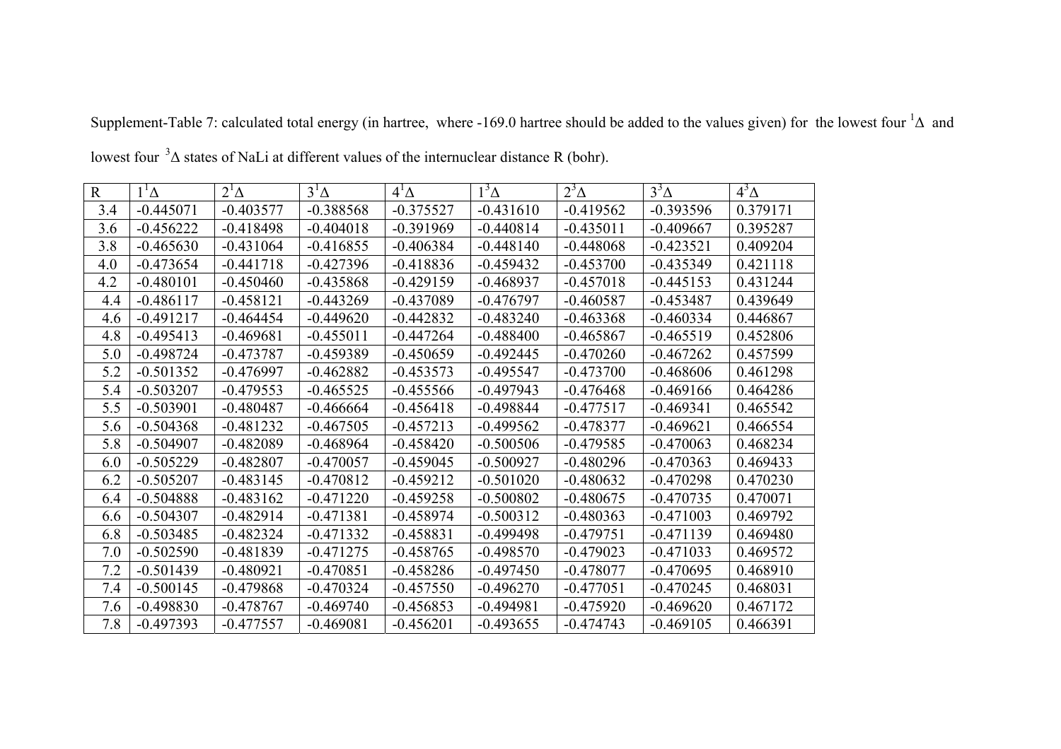| $\mathbf R$ | $1^1\Delta$ | $2^1\Delta$ | $3^1\Delta$ | $4^1\Delta$ | $1^3\Delta$ | $2^3\Delta$ | $3^3\Delta$ | $4^3\Delta$ |
|-------------|-------------|-------------|-------------|-------------|-------------|-------------|-------------|-------------|
| 3.4         | $-0.445071$ | $-0.403577$ | $-0.388568$ | $-0.375527$ | $-0.431610$ | $-0.419562$ | $-0.393596$ | 0.379171    |
| 3.6         | $-0.456222$ | $-0.418498$ | $-0.404018$ | $-0.391969$ | $-0.440814$ | $-0.435011$ | $-0.409667$ | 0.395287    |
| 3.8         | $-0.465630$ | $-0.431064$ | $-0.416855$ | $-0.406384$ | $-0.448140$ | $-0.448068$ | $-0.423521$ | 0.409204    |
| 4.0         | $-0.473654$ | $-0.441718$ | $-0.427396$ | $-0.418836$ | $-0.459432$ | $-0.453700$ | $-0.435349$ | 0.421118    |
| 4.2         | $-0.480101$ | $-0.450460$ | $-0.435868$ | $-0.429159$ | $-0.468937$ | $-0.457018$ | $-0.445153$ | 0.431244    |
| 4.4         | $-0.486117$ | $-0.458121$ | $-0.443269$ | $-0.437089$ | $-0.476797$ | $-0.460587$ | $-0.453487$ | 0.439649    |
| 4.6         | $-0.491217$ | $-0.464454$ | $-0.449620$ | $-0.442832$ | $-0.483240$ | $-0.463368$ | $-0.460334$ | 0.446867    |
| 4.8         | $-0.495413$ | $-0.469681$ | $-0.455011$ | $-0.447264$ | $-0.488400$ | $-0.465867$ | $-0.465519$ | 0.452806    |
| 5.0         | $-0.498724$ | $-0.473787$ | $-0.459389$ | $-0.450659$ | $-0.492445$ | $-0.470260$ | $-0.467262$ | 0.457599    |
| 5.2         | $-0.501352$ | $-0.476997$ | $-0.462882$ | $-0.453573$ | $-0.495547$ | $-0.473700$ | $-0.468606$ | 0.461298    |
| 5.4         | $-0.503207$ | $-0.479553$ | $-0.465525$ | $-0.455566$ | $-0.497943$ | $-0.476468$ | $-0.469166$ | 0.464286    |
| 5.5         | $-0.503901$ | $-0.480487$ | $-0.466664$ | $-0.456418$ | $-0.498844$ | $-0.477517$ | $-0.469341$ | 0.465542    |
| 5.6         | $-0.504368$ | $-0.481232$ | $-0.467505$ | $-0.457213$ | $-0.499562$ | $-0.478377$ | $-0.469621$ | 0.466554    |
| 5.8         | $-0.504907$ | $-0.482089$ | $-0.468964$ | $-0.458420$ | $-0.500506$ | $-0.479585$ | $-0.470063$ | 0.468234    |
| 6.0         | $-0.505229$ | $-0.482807$ | $-0.470057$ | $-0.459045$ | $-0.500927$ | $-0.480296$ | $-0.470363$ | 0.469433    |
| 6.2         | $-0.505207$ | $-0.483145$ | $-0.470812$ | $-0.459212$ | $-0.501020$ | $-0.480632$ | $-0.470298$ | 0.470230    |
| 6.4         | $-0.504888$ | $-0.483162$ | $-0.471220$ | $-0.459258$ | $-0.500802$ | $-0.480675$ | $-0.470735$ | 0.470071    |
| 6.6         | $-0.504307$ | $-0.482914$ | $-0.471381$ | $-0.458974$ | $-0.500312$ | $-0.480363$ | $-0.471003$ | 0.469792    |
| 6.8         | $-0.503485$ | $-0.482324$ | $-0.471332$ | $-0.458831$ | $-0.499498$ | $-0.479751$ | $-0.471139$ | 0.469480    |
| 7.0         | $-0.502590$ | $-0.481839$ | $-0.471275$ | $-0.458765$ | $-0.498570$ | $-0.479023$ | $-0.471033$ | 0.469572    |
| 7.2         | $-0.501439$ | $-0.480921$ | $-0.470851$ | $-0.458286$ | $-0.497450$ | $-0.478077$ | $-0.470695$ | 0.468910    |
| 7.4         | $-0.500145$ | $-0.479868$ | $-0.470324$ | $-0.457550$ | $-0.496270$ | $-0.477051$ | $-0.470245$ | 0.468031    |
| 7.6         | $-0.498830$ | $-0.478767$ | $-0.469740$ | $-0.456853$ | $-0.494981$ | $-0.475920$ | $-0.469620$ | 0.467172    |
| 7.8         | $-0.497393$ | $-0.477557$ | $-0.469081$ | $-0.456201$ | $-0.493655$ | $-0.474743$ | $-0.469105$ | 0.466391    |

Supplement-Table 7: calculated total energy (in hartree, where -169.0 hartree should be added to the values given) for the lowest four <sup>1</sup>∆ and

lowest four  $3\Delta$  states of NaLi at different values of the internuclear distance R (bohr).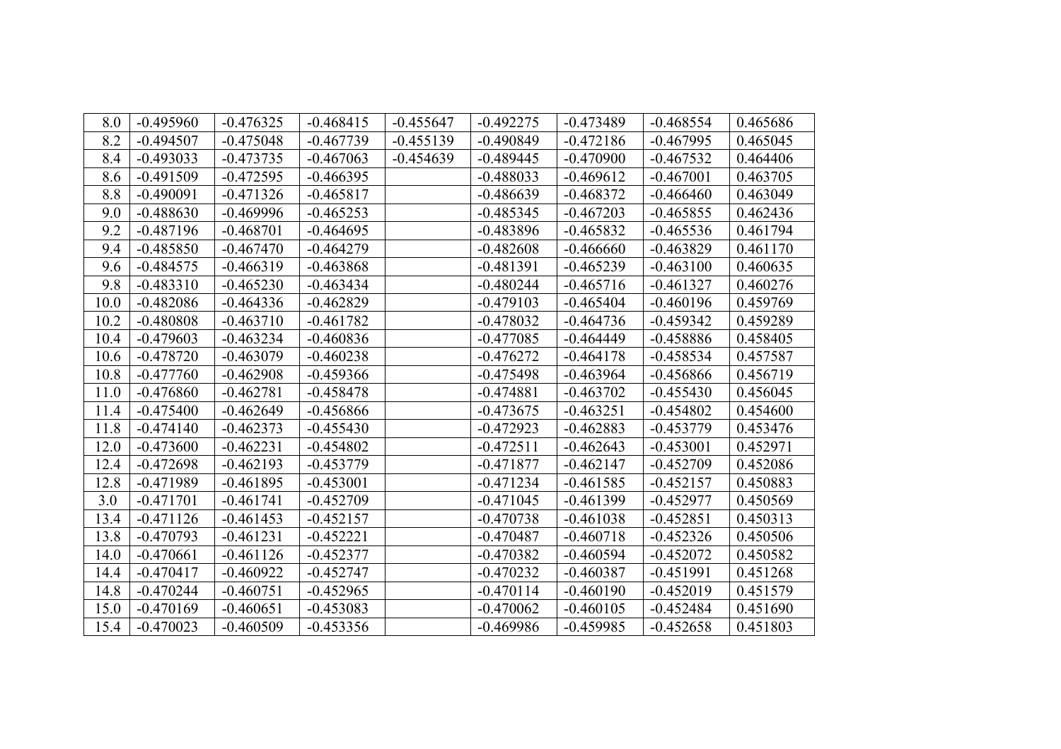| 8.0  | $-0.495960$ | $-0.476325$ | $-0.468415$ | $-0.455647$ | $-0.492275$ | $-0.473489$ | $-0.468554$ | 0.465686 |
|------|-------------|-------------|-------------|-------------|-------------|-------------|-------------|----------|
| 8.2  | $-0.494507$ | $-0.475048$ | $-0.467739$ | $-0.455139$ | $-0.490849$ | $-0.472186$ | $-0.467995$ | 0.465045 |
| 8.4  | $-0.493033$ | $-0.473735$ | $-0.467063$ | $-0.454639$ | $-0.489445$ | $-0.470900$ | $-0.467532$ | 0.464406 |
| 8.6  | $-0.491509$ | $-0.472595$ | $-0.466395$ |             | $-0.488033$ | $-0.469612$ | $-0.467001$ | 0.463705 |
| 8.8  | $-0.490091$ | $-0.471326$ | $-0.465817$ |             | $-0.486639$ | $-0.468372$ | $-0.466460$ | 0.463049 |
| 9.0  | $-0.488630$ | $-0.469996$ | $-0.465253$ |             | $-0.485345$ | $-0.467203$ | $-0.465855$ | 0.462436 |
| 9.2  | $-0.487196$ | $-0.468701$ | $-0.464695$ |             | $-0.483896$ | $-0.465832$ | $-0.465536$ | 0.461794 |
| 9.4  | $-0.485850$ | $-0.467470$ | $-0.464279$ |             | $-0.482608$ | $-0.466660$ | $-0.463829$ | 0.461170 |
| 9.6  | $-0.484575$ | $-0.466319$ | $-0.463868$ |             | $-0.481391$ | $-0.465239$ | $-0.463100$ | 0.460635 |
| 9.8  | $-0.483310$ | $-0.465230$ | $-0.463434$ |             | $-0.480244$ | $-0.465716$ | $-0.461327$ | 0.460276 |
| 10.0 | $-0.482086$ | $-0.464336$ | $-0.462829$ |             | $-0.479103$ | $-0.465404$ | $-0.460196$ | 0.459769 |
| 10.2 | $-0.480808$ | $-0.463710$ | $-0.461782$ |             | $-0.478032$ | $-0.464736$ | $-0.459342$ | 0.459289 |
| 10.4 | $-0.479603$ | $-0.463234$ | $-0.460836$ |             | $-0.477085$ | $-0.464449$ | $-0.458886$ | 0.458405 |
| 10.6 | $-0.478720$ | $-0.463079$ | $-0.460238$ |             | $-0.476272$ | $-0.464178$ | $-0.458534$ | 0.457587 |
| 10.8 | $-0.477760$ | $-0.462908$ | $-0.459366$ |             | $-0.475498$ | $-0.463964$ | $-0.456866$ | 0.456719 |
| 11.0 | $-0.476860$ | $-0.462781$ | $-0.458478$ |             | $-0.474881$ | $-0.463702$ | $-0.455430$ | 0.456045 |
| 11.4 | $-0.475400$ | $-0.462649$ | $-0.456866$ |             | $-0.473675$ | $-0.463251$ | $-0.454802$ | 0.454600 |
| 11.8 | $-0.474140$ | $-0.462373$ | $-0.455430$ |             | $-0.472923$ | $-0.462883$ | $-0.453779$ | 0.453476 |
| 12.0 | $-0.473600$ | $-0.462231$ | $-0.454802$ |             | $-0.472511$ | $-0.462643$ | $-0.453001$ | 0.452971 |
| 12.4 | $-0.472698$ | $-0.462193$ | $-0.453779$ |             | $-0.471877$ | $-0.462147$ | $-0.452709$ | 0.452086 |
| 12.8 | $-0.471989$ | $-0.461895$ | $-0.453001$ |             | $-0.471234$ | $-0.461585$ | $-0.452157$ | 0.450883 |
| 3.0  | $-0.471701$ | $-0.461741$ | $-0.452709$ |             | $-0.471045$ | $-0.461399$ | $-0.452977$ | 0.450569 |
| 13.4 | $-0.471126$ | $-0.461453$ | $-0.452157$ |             | $-0.470738$ | $-0.461038$ | $-0.452851$ | 0.450313 |
| 13.8 | $-0.470793$ | $-0.461231$ | $-0.452221$ |             | $-0.470487$ | $-0.460718$ | $-0.452326$ | 0.450506 |
| 14.0 | $-0.470661$ | $-0.461126$ | $-0.452377$ |             | $-0.470382$ | $-0.460594$ | $-0.452072$ | 0.450582 |
| 14.4 | $-0.470417$ | $-0.460922$ | $-0.452747$ |             | $-0.470232$ | $-0.460387$ | $-0.451991$ | 0.451268 |
| 14.8 | $-0.470244$ | $-0.460751$ | $-0.452965$ |             | $-0.470114$ | $-0.460190$ | $-0.452019$ | 0.451579 |
| 15.0 | $-0.470169$ | $-0.460651$ | $-0.453083$ |             | $-0.470062$ | $-0.460105$ | $-0.452484$ | 0.451690 |
| 15.4 | $-0.470023$ | $-0.460509$ | $-0.453356$ |             | $-0.469986$ | $-0.459985$ | $-0.452658$ | 0.451803 |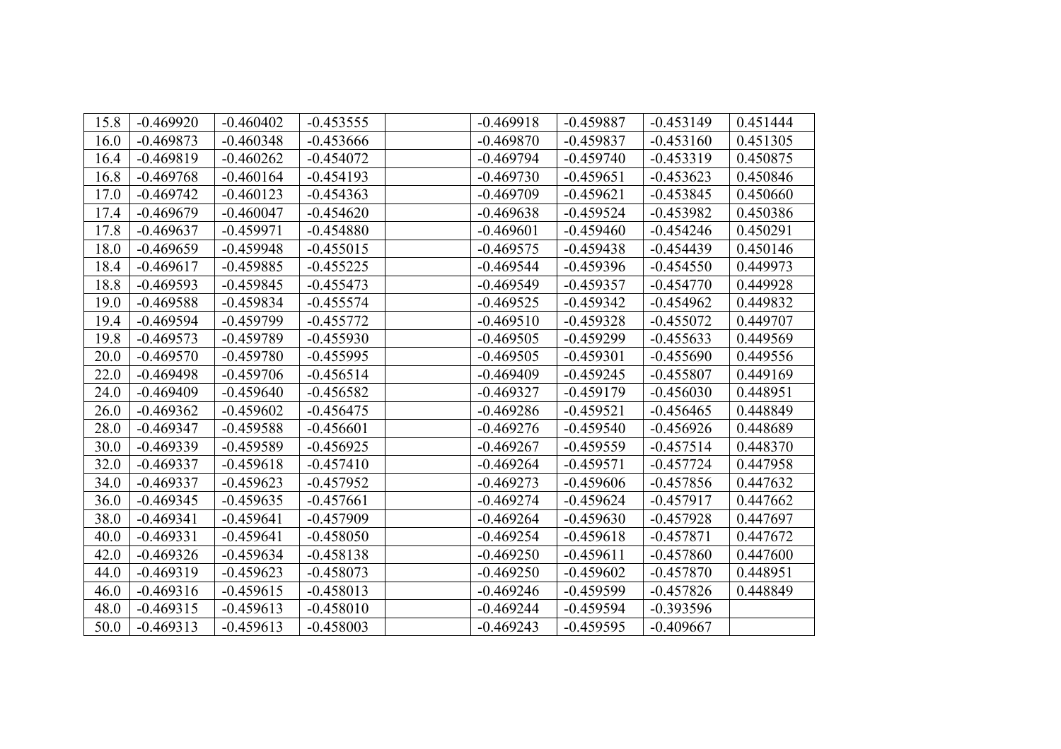| 15.8 | $-0.469920$ | $-0.460402$ | $-0.453555$ | $-0.469918$ | $-0.459887$ | $-0.453149$ | 0.451444 |
|------|-------------|-------------|-------------|-------------|-------------|-------------|----------|
| 16.0 | $-0.469873$ | $-0.460348$ | $-0.453666$ | $-0.469870$ | $-0.459837$ | $-0.453160$ | 0.451305 |
| 16.4 | $-0.469819$ | $-0.460262$ | $-0.454072$ | $-0.469794$ | $-0.459740$ | $-0.453319$ | 0.450875 |
| 16.8 | $-0.469768$ | $-0.460164$ | $-0.454193$ | $-0.469730$ | $-0.459651$ | $-0.453623$ | 0.450846 |
| 17.0 | $-0.469742$ | $-0.460123$ | $-0.454363$ | $-0.469709$ | $-0.459621$ | $-0.453845$ | 0.450660 |
| 17.4 | $-0.469679$ | $-0.460047$ | $-0.454620$ | $-0.469638$ | $-0.459524$ | $-0.453982$ | 0.450386 |
| 17.8 | $-0.469637$ | $-0.459971$ | $-0.454880$ | $-0.469601$ | $-0.459460$ | $-0.454246$ | 0.450291 |
| 18.0 | $-0.469659$ | $-0.459948$ | $-0.455015$ | $-0.469575$ | $-0.459438$ | $-0.454439$ | 0.450146 |
| 18.4 | $-0.469617$ | $-0.459885$ | $-0.455225$ | $-0.469544$ | $-0.459396$ | $-0.454550$ | 0.449973 |
| 18.8 | $-0.469593$ | $-0.459845$ | $-0.455473$ | $-0.469549$ | $-0.459357$ | $-0.454770$ | 0.449928 |
| 19.0 | $-0.469588$ | $-0.459834$ | $-0.455574$ | $-0.469525$ | $-0.459342$ | $-0.454962$ | 0.449832 |
| 19.4 | $-0.469594$ | $-0.459799$ | $-0.455772$ | $-0.469510$ | $-0.459328$ | $-0.455072$ | 0.449707 |
| 19.8 | $-0.469573$ | $-0.459789$ | $-0.455930$ | $-0.469505$ | $-0.459299$ | $-0.455633$ | 0.449569 |
| 20.0 | $-0.469570$ | $-0.459780$ | $-0.455995$ | $-0.469505$ | $-0.459301$ | $-0.455690$ | 0.449556 |
| 22.0 | $-0.469498$ | $-0.459706$ | $-0.456514$ | $-0.469409$ | $-0.459245$ | $-0.455807$ | 0.449169 |
| 24.0 | $-0.469409$ | $-0.459640$ | $-0.456582$ | $-0.469327$ | $-0.459179$ | $-0.456030$ | 0.448951 |
| 26.0 | $-0.469362$ | $-0.459602$ | $-0.456475$ | $-0.469286$ | $-0.459521$ | $-0.456465$ | 0.448849 |
| 28.0 | $-0.469347$ | $-0.459588$ | $-0.456601$ | $-0.469276$ | $-0.459540$ | $-0.456926$ | 0.448689 |
| 30.0 | $-0.469339$ | $-0.459589$ | $-0.456925$ | $-0.469267$ | $-0.459559$ | $-0.457514$ | 0.448370 |
| 32.0 | $-0.469337$ | $-0.459618$ | $-0.457410$ | $-0.469264$ | $-0.459571$ | $-0.457724$ | 0.447958 |
| 34.0 | $-0.469337$ | $-0.459623$ | $-0.457952$ | $-0.469273$ | $-0.459606$ | $-0.457856$ | 0.447632 |
| 36.0 | $-0.469345$ | $-0.459635$ | $-0.457661$ | $-0.469274$ | $-0.459624$ | $-0.457917$ | 0.447662 |
| 38.0 | $-0.469341$ | $-0.459641$ | $-0.457909$ | $-0.469264$ | $-0.459630$ | $-0.457928$ | 0.447697 |
| 40.0 | $-0.469331$ | $-0.459641$ | $-0.458050$ | $-0.469254$ | $-0.459618$ | $-0.457871$ | 0.447672 |
| 42.0 | $-0.469326$ | $-0.459634$ | $-0.458138$ | $-0.469250$ | $-0.459611$ | $-0.457860$ | 0.447600 |
| 44.0 | $-0.469319$ | $-0.459623$ | $-0.458073$ | $-0.469250$ | $-0.459602$ | $-0.457870$ | 0.448951 |
| 46.0 | $-0.469316$ | $-0.459615$ | $-0.458013$ | $-0.469246$ | $-0.459599$ | $-0.457826$ | 0.448849 |
| 48.0 | $-0.469315$ | $-0.459613$ | $-0.458010$ | $-0.469244$ | $-0.459594$ | $-0.393596$ |          |
| 50.0 | $-0.469313$ | $-0.459613$ | $-0.458003$ | $-0.469243$ | $-0.459595$ | $-0.409667$ |          |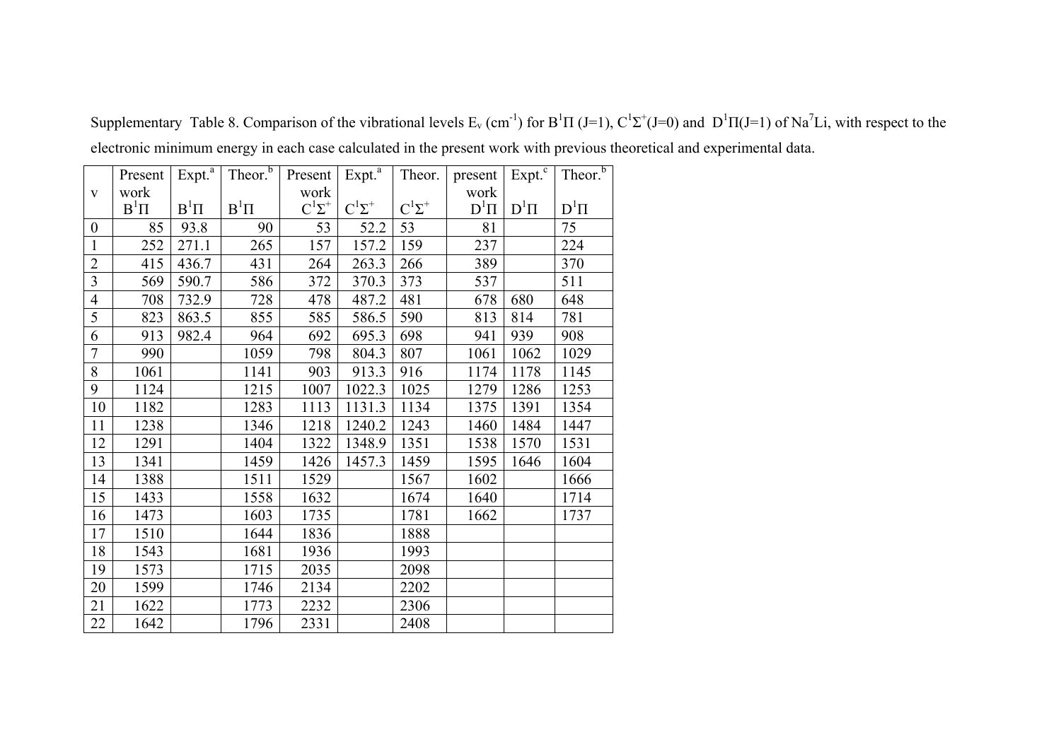|                  | Present  | Expt. <sup>a</sup> | Theor. <sup>b</sup> | Present       | Expt. <sup>a</sup> | Theor.        | present  | $Expt.$ <sup>c</sup> | Theor. <sup>b</sup> |
|------------------|----------|--------------------|---------------------|---------------|--------------------|---------------|----------|----------------------|---------------------|
| $\mathbf{V}$     | work     |                    |                     | work          |                    |               | work     |                      |                     |
|                  | $B^1\Pi$ | $B^1\Pi$           | $B^1\Pi$            | $C^1\Sigma^+$ | $C^1\Sigma^+$      | $C^1\Sigma^+$ | $D^1\Pi$ | $D^1\Pi$             | $D^1\Pi$            |
| $\boldsymbol{0}$ | 85       | 93.8               | 90                  | 53            | 52.2               | 53            | 81       |                      | 75                  |
| $\mathbf{1}$     | 252      | 271.1              | 265                 | 157           | 157.2              | 159           | 237      |                      | 224                 |
| $\overline{2}$   | 415      | 436.7              | 431                 | 264           | 263.3              | 266           | 389      |                      | 370                 |
| $\overline{3}$   | 569      | 590.7              | 586                 | 372           | 370.3              | 373           | 537      |                      | 511                 |
| $\overline{4}$   | 708      | 732.9              | 728                 | 478           | 487.2              | 481           | 678      | 680                  | 648                 |
| $\overline{5}$   | 823      | 863.5              | 855                 | 585           | 586.5              | 590           | 813      | 814                  | 781                 |
| 6                | 913      | 982.4              | 964                 | 692           | 695.3              | 698           | 941      | 939                  | 908                 |
| $\overline{7}$   | 990      |                    | 1059                | 798           | 804.3              | 807           | 1061     | 1062                 | 1029                |
| 8                | 1061     |                    | 1141                | 903           | 913.3              | 916           | 1174     | 1178                 | 1145                |
| 9                | 1124     |                    | 1215                | 1007          | 1022.3             | 1025          | 1279     | 1286                 | 1253                |
| 10               | 1182     |                    | 1283                | 1113          | 1131.3             | 1134          | 1375     | 1391                 | 1354                |
| 11               | 1238     |                    | 1346                | 1218          | 1240.2             | 1243          | 1460     | 1484                 | 1447                |
| 12               | 1291     |                    | 1404                | 1322          | 1348.9             | 1351          | 1538     | 1570                 | 1531                |
| 13               | 1341     |                    | 1459                | 1426          | 1457.3             | 1459          | 1595     | 1646                 | 1604                |
| 14               | 1388     |                    | 1511                | 1529          |                    | 1567          | 1602     |                      | 1666                |
| 15               | 1433     |                    | 1558                | 1632          |                    | 1674          | 1640     |                      | 1714                |
| 16               | 1473     |                    | 1603                | 1735          |                    | 1781          | 1662     |                      | 1737                |
| 17               | 1510     |                    | 1644                | 1836          |                    | 1888          |          |                      |                     |
| 18               | 1543     |                    | 1681                | 1936          |                    | 1993          |          |                      |                     |
| 19               | 1573     |                    | 1715                | 2035          |                    | 2098          |          |                      |                     |
| 20               | 1599     |                    | 1746                | 2134          |                    | 2202          |          |                      |                     |
| 21               | 1622     |                    | 1773                | 2232          |                    | 2306          |          |                      |                     |
| 22               | 1642     |                    | 1796                | 2331          |                    | 2408          |          |                      |                     |

Supplementary Table 8. Comparison of the vibrational levels  $E_v$  (cm<sup>-1</sup>) for  $B^1\Pi$  (J=1),  $C^1\Sigma^+(J=0)$  and  $D^1\Pi$ (J=1) of Na<sup>7</sup>Li, with respect to the electronic minimum energy in each case calculated in the present work with previous theoretical and experimental data.